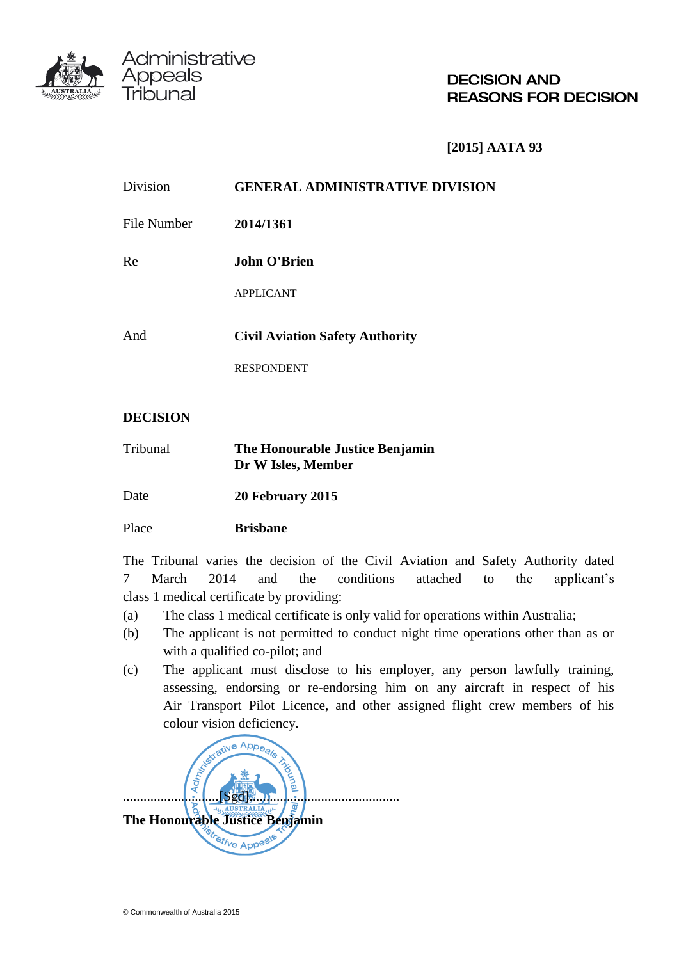

**DECISION AND REASONS FOR DECISION** 

**[2015] AATA 93**

| Division    | <b>GENERAL ADMINISTRATIVE DIVISION</b> |  |
|-------------|----------------------------------------|--|
| File Number | 2014/1361                              |  |
| Re          | <b>John O'Brien</b>                    |  |
|             | <b>APPLICANT</b>                       |  |
| And         | <b>Civil Aviation Safety Authority</b> |  |
|             | <b>RESPONDENT</b>                      |  |

# **DECISION**

Administrative<br>Appeals

| Tribunal | The Honourable Justice Benjamin |
|----------|---------------------------------|
|          | Dr W Isles, Member              |

Date **20 February 2015** 

Place **Brisbane**

The Tribunal varies the decision of the Civil Aviation and Safety Authority dated 7 March 2014 and the conditions attached to the applicant's class 1 medical certificate by providing:

- (a) The class 1 medical certificate is only valid for operations within Australia;
- (b) The applicant is not permitted to conduct night time operations other than as or with a qualified co-pilot; and
- (c) The applicant must disclose to his employer, any person lawfully training, assessing, endorsing or re-endorsing him on any aircraft in respect of his Air Transport Pilot Licence, and other assigned flight crew members of his colour vision deficiency.

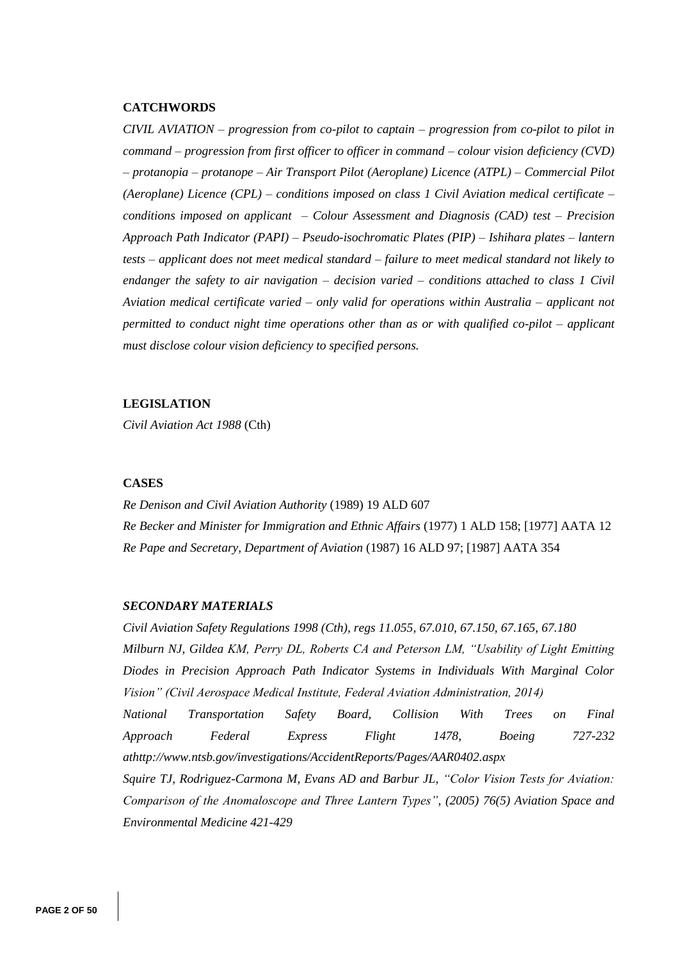#### **CATCHWORDS**

*CIVIL AVIATION – progression from co-pilot to captain – progression from co-pilot to pilot in command – progression from first officer to officer in command – colour vision deficiency (CVD) – protanopia – protanope – Air Transport Pilot (Aeroplane) Licence (ATPL) – Commercial Pilot (Aeroplane) Licence (CPL) – conditions imposed on class 1 Civil Aviation medical certificate – conditions imposed on applicant – Colour Assessment and Diagnosis (CAD) test – Precision Approach Path Indicator (PAPI) – Pseudo-isochromatic Plates (PIP) – Ishihara plates – lantern tests – applicant does not meet medical standard – failure to meet medical standard not likely to endanger the safety to air navigation – decision varied – conditions attached to class 1 Civil Aviation medical certificate varied – only valid for operations within Australia – applicant not permitted to conduct night time operations other than as or with qualified co-pilot – applicant must disclose colour vision deficiency to specified persons.* 

#### **LEGISLATION**

*Civil Aviation Act 1988* (Cth)

#### **CASES**

*Re Denison and Civil Aviation Authority* (1989) 19 ALD 607 *Re Becker and Minister for Immigration and Ethnic Affairs* (1977) 1 ALD 158; [1977] AATA 12 *Re Pape and Secretary, Department of Aviation* (1987) 16 ALD 97; [1987] AATA 354

#### *SECONDARY MATERIALS*

*Civil Aviation Safety Regulations 1998 (Cth), regs 11.055, 67.010, 67.150, 67.165, 67.180 Milburn NJ, Gildea KM, Perry DL, Roberts CA and Peterson LM, "Usability of Light Emitting Diodes in Precision Approach Path Indicator Systems in Individuals With Marginal Color Vision" (Civil Aerospace Medical Institute, Federal Aviation Administration, 2014) National Transportation Safety Board, Collision With Trees on Final Approach Federal Express Flight 1478, Boeing 727-232 a[thttp://www.ntsb.gov/investigations/AccidentReports/Pages/AAR0402.aspx](http://www.ntsb.gov/investigations/AccidentReports/Pages/AAR0402.aspx) Squire TJ, Rodriguez-Carmona M, Evans AD and Barbur JL, "Color Vision Tests for Aviation: Comparison of the Anomaloscope and Three Lantern Types", (2005) 76(5) Aviation Space and Environmental Medicine 421-429*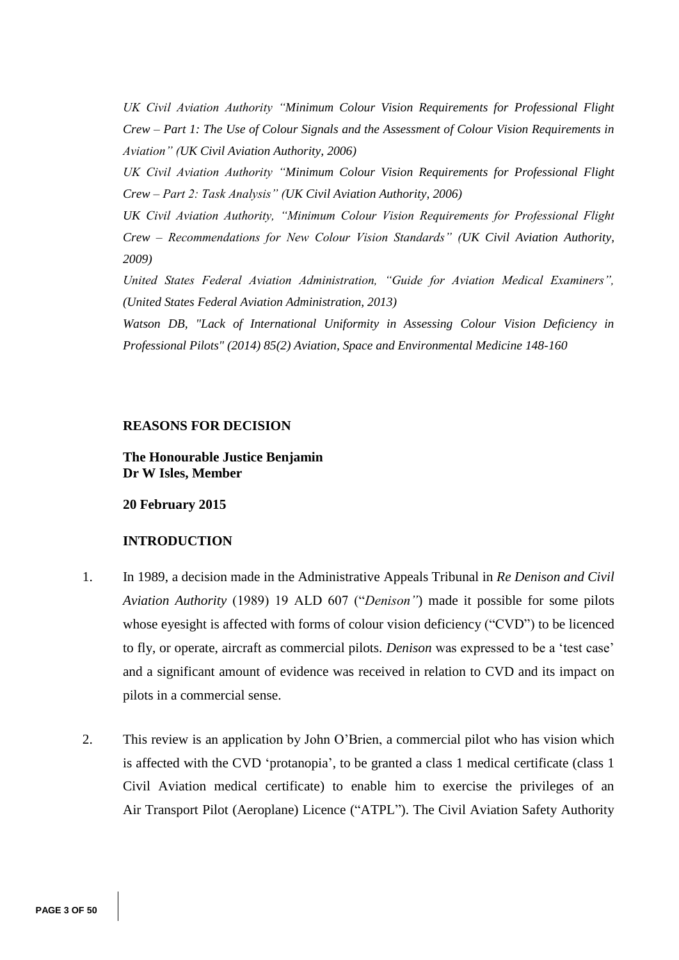*UK Civil Aviation Authority "Minimum Colour Vision Requirements for Professional Flight Crew – Part 1: The Use of Colour Signals and the Assessment of Colour Vision Requirements in Aviation" (UK Civil Aviation Authority, 2006)*

*UK Civil Aviation Authority "Minimum Colour Vision Requirements for Professional Flight Crew – Part 2: Task Analysis" (UK Civil Aviation Authority, 2006)*

*UK Civil Aviation Authority, "Minimum Colour Vision Requirements for Professional Flight Crew – Recommendations for New Colour Vision Standards" (UK Civil Aviation Authority, 2009)*

*United States Federal Aviation Administration, "Guide for Aviation Medical Examiners", (United States Federal Aviation Administration, 2013)*

*Watson DB, "Lack of International Uniformity in Assessing Colour Vision Deficiency in Professional Pilots" (2014) 85(2) Aviation, Space and Environmental Medicine 148-160*

#### **REASONS FOR DECISION**

**The Honourable Justice Benjamin Dr W Isles, Member**

### **20 February 2015**

#### **INTRODUCTION**

- 1. In 1989, a decision made in the Administrative Appeals Tribunal in *Re Denison and Civil Aviation Authority* (1989) 19 ALD 607 ("*Denison"*) made it possible for some pilots whose eyesight is affected with forms of colour vision deficiency ("CVD") to be licenced to fly, or operate, aircraft as commercial pilots. *Denison* was expressed to be a 'test case' and a significant amount of evidence was received in relation to CVD and its impact on pilots in a commercial sense.
- 2. This review is an application by John O'Brien, a commercial pilot who has vision which is affected with the CVD 'protanopia', to be granted a class 1 medical certificate (class 1 Civil Aviation medical certificate) to enable him to exercise the privileges of an Air Transport Pilot (Aeroplane) Licence ("ATPL"). The Civil Aviation Safety Authority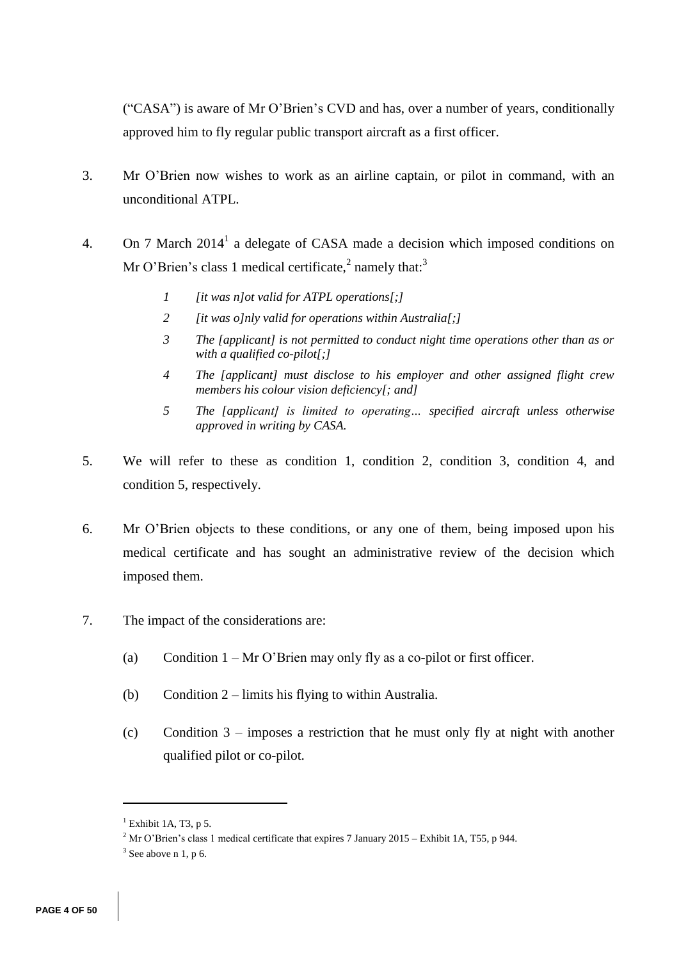("CASA") is aware of Mr O'Brien's CVD and has, over a number of years, conditionally approved him to fly regular public transport aircraft as a first officer.

- 3. Mr O'Brien now wishes to work as an airline captain, or pilot in command, with an unconditional ATPL.
- 4. On 7 March  $2014<sup>1</sup>$  a delegate of CASA made a decision which imposed conditions on Mr O'Brien's class 1 medical certificate, $^2$  namely that:<sup>3</sup>
	- *1 [it was n]ot valid for ATPL operations[;]*
	- *2 [it was o]nly valid for operations within Australia[;]*
	- *3 The [applicant] is not permitted to conduct night time operations other than as or with a qualified co-pilot[;]*
	- *4 The [applicant] must disclose to his employer and other assigned flight crew members his colour vision deficiency[; and]*
	- *5 The [applicant] is limited to operating… specified aircraft unless otherwise approved in writing by CASA.*
- 5. We will refer to these as condition 1, condition 2, condition 3, condition 4, and condition 5, respectively.
- 6. Mr O'Brien objects to these conditions, or any one of them, being imposed upon his medical certificate and has sought an administrative review of the decision which imposed them.
- 7. The impact of the considerations are:
	- (a) Condition  $1 Mr O' Brien may only fly as a co-pilot or first officer.$
	- (b) Condition 2 limits his flying to within Australia.
	- (c) Condition 3 imposes a restriction that he must only fly at night with another qualified pilot or co-pilot.

 $<sup>1</sup>$  Exhibit 1A, T3, p 5.</sup>

<sup>&</sup>lt;sup>2</sup> Mr O'Brien's class 1 medical certificate that expires 7 January 2015 – Exhibit 1A, T55, p 944.

 $3$  See above n 1, p 6.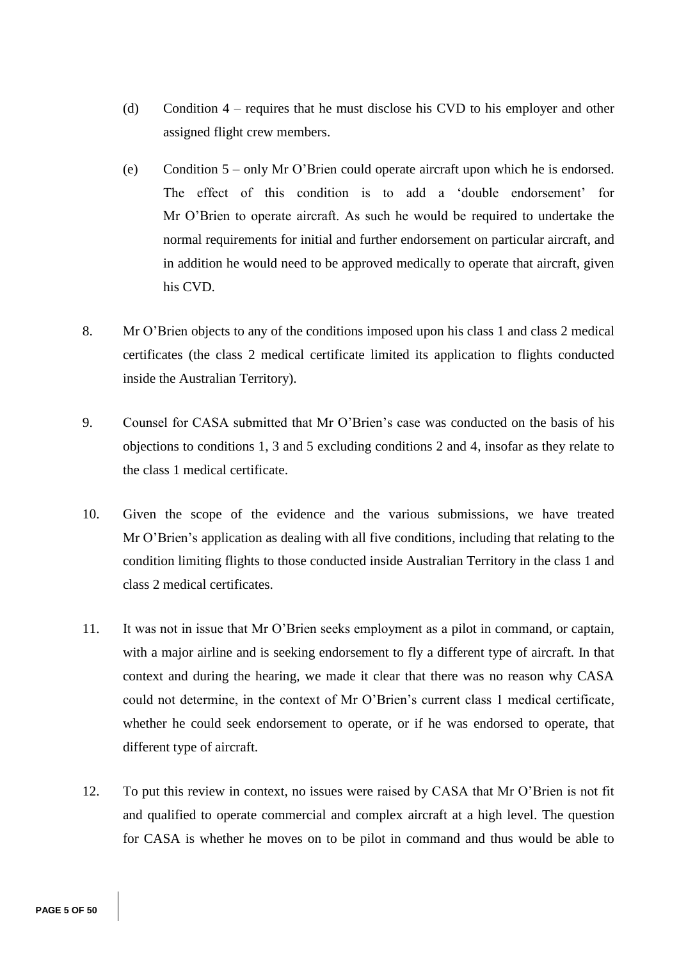- (d) Condition 4 requires that he must disclose his CVD to his employer and other assigned flight crew members.
- (e) Condition 5 only Mr O'Brien could operate aircraft upon which he is endorsed. The effect of this condition is to add a 'double endorsement' for Mr O'Brien to operate aircraft. As such he would be required to undertake the normal requirements for initial and further endorsement on particular aircraft, and in addition he would need to be approved medically to operate that aircraft, given his CVD.
- 8. Mr O'Brien objects to any of the conditions imposed upon his class 1 and class 2 medical certificates (the class 2 medical certificate limited its application to flights conducted inside the Australian Territory).
- 9. Counsel for CASA submitted that Mr O'Brien's case was conducted on the basis of his objections to conditions 1, 3 and 5 excluding conditions 2 and 4, insofar as they relate to the class 1 medical certificate.
- 10. Given the scope of the evidence and the various submissions, we have treated Mr O'Brien's application as dealing with all five conditions, including that relating to the condition limiting flights to those conducted inside Australian Territory in the class 1 and class 2 medical certificates.
- 11. It was not in issue that Mr O'Brien seeks employment as a pilot in command, or captain, with a major airline and is seeking endorsement to fly a different type of aircraft. In that context and during the hearing, we made it clear that there was no reason why CASA could not determine, in the context of Mr O'Brien's current class 1 medical certificate, whether he could seek endorsement to operate, or if he was endorsed to operate, that different type of aircraft.
- 12. To put this review in context, no issues were raised by CASA that Mr O'Brien is not fit and qualified to operate commercial and complex aircraft at a high level. The question for CASA is whether he moves on to be pilot in command and thus would be able to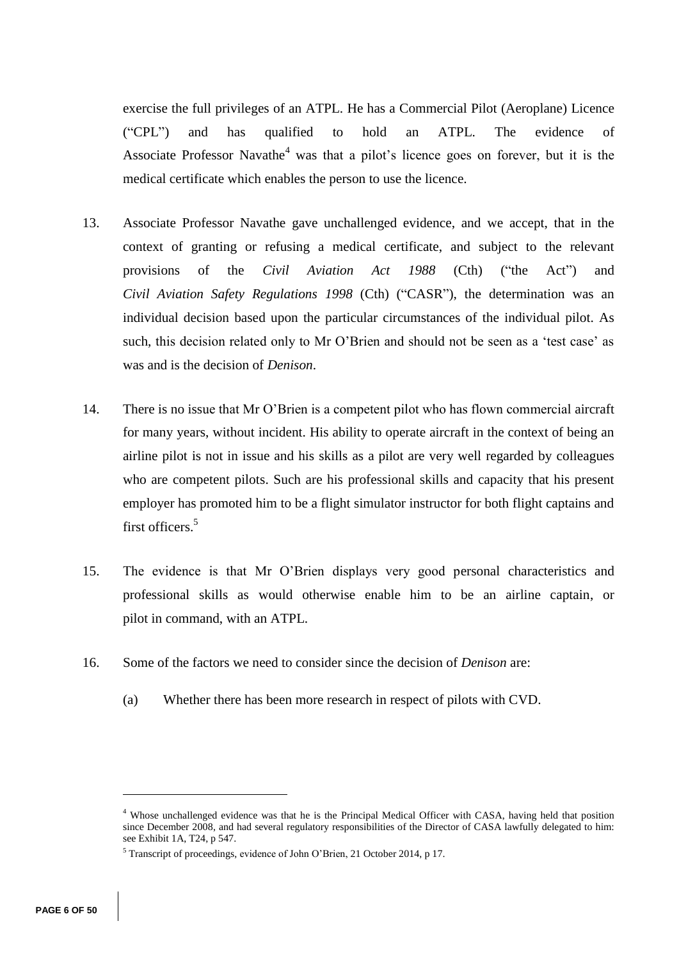exercise the full privileges of an ATPL. He has a Commercial Pilot (Aeroplane) Licence ("CPL") and has qualified to hold an ATPL. The evidence of Associate Professor Navathe<sup>4</sup> was that a pilot's licence goes on forever, but it is the medical certificate which enables the person to use the licence.

- 13. Associate Professor Navathe gave unchallenged evidence, and we accept, that in the context of granting or refusing a medical certificate, and subject to the relevant provisions of the *Civil Aviation Act 1988* (Cth) ("the Act") and *Civil Aviation Safety Regulations 1998* (Cth) ("CASR"), the determination was an individual decision based upon the particular circumstances of the individual pilot. As such, this decision related only to Mr O'Brien and should not be seen as a 'test case' as was and is the decision of *Denison*.
- 14. There is no issue that Mr O'Brien is a competent pilot who has flown commercial aircraft for many years, without incident. His ability to operate aircraft in the context of being an airline pilot is not in issue and his skills as a pilot are very well regarded by colleagues who are competent pilots. Such are his professional skills and capacity that his present employer has promoted him to be a flight simulator instructor for both flight captains and first officers.<sup>5</sup>
- 15. The evidence is that Mr O'Brien displays very good personal characteristics and professional skills as would otherwise enable him to be an airline captain, or pilot in command, with an ATPL.
- 16. Some of the factors we need to consider since the decision of *Denison* are:
	- (a) Whether there has been more research in respect of pilots with CVD.

<sup>4</sup> Whose unchallenged evidence was that he is the Principal Medical Officer with CASA, having held that position since December 2008, and had several regulatory responsibilities of the Director of CASA lawfully delegated to him: see Exhibit 1A, T24, p 547.

<sup>5</sup> Transcript of proceedings, evidence of John O'Brien, 21 October 2014, p 17.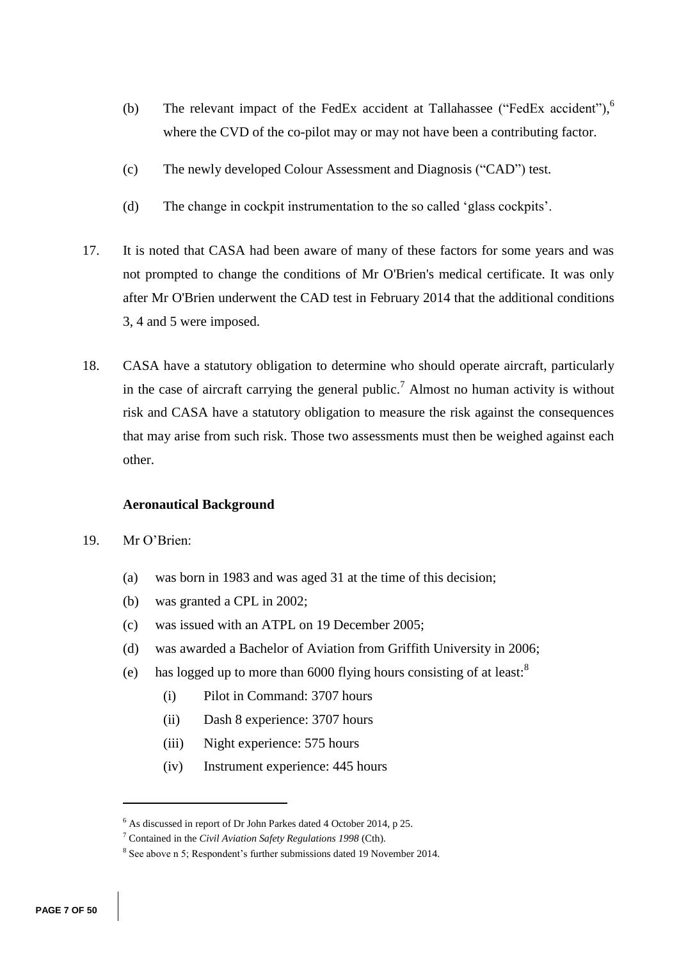- (b) The relevant impact of the FedEx accident at Tallahassee ("FedEx accident"), 6 where the CVD of the co-pilot may or may not have been a contributing factor.
- (c) The newly developed Colour Assessment and Diagnosis ("CAD") test.
- (d) The change in cockpit instrumentation to the so called 'glass cockpits'.
- 17. It is noted that CASA had been aware of many of these factors for some years and was not prompted to change the conditions of Mr O'Brien's medical certificate. It was only after Mr O'Brien underwent the CAD test in February 2014 that the additional conditions 3, 4 and 5 were imposed.
- 18. CASA have a statutory obligation to determine who should operate aircraft, particularly in the case of aircraft carrying the general public.<sup>7</sup> Almost no human activity is without risk and CASA have a statutory obligation to measure the risk against the consequences that may arise from such risk. Those two assessments must then be weighed against each other.

### **Aeronautical Background**

19. Mr O'Brien:

- (a) was born in 1983 and was aged 31 at the time of this decision;
- (b) was granted a CPL in 2002;
- (c) was issued with an ATPL on 19 December 2005;
- (d) was awarded a Bachelor of Aviation from Griffith University in 2006;
- (e) has logged up to more than 6000 flying hours consisting of at least: $8$ 
	- (i) Pilot in Command: 3707 hours
	- (ii) Dash 8 experience: 3707 hours
	- (iii) Night experience: 575 hours
	- (iv) Instrument experience: 445 hours

 $6$  As discussed in report of Dr John Parkes dated 4 October 2014, p 25.

<sup>7</sup> Contained in the *Civil Aviation Safety Regulations 1998* (Cth).

 $8$  See above n 5; Respondent's further submissions dated 19 November 2014.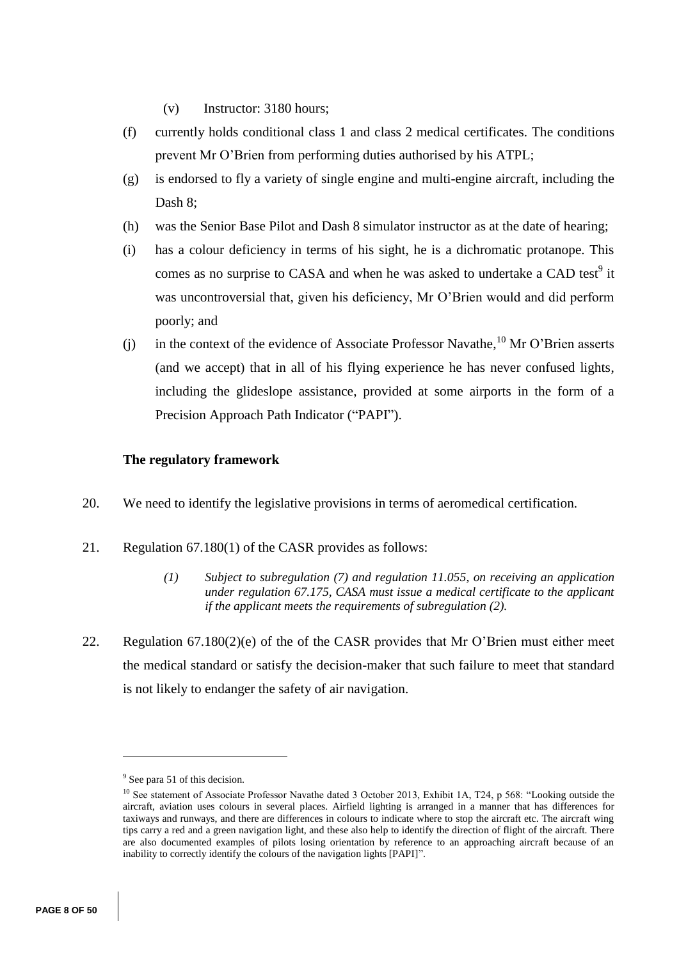- (v) Instructor: 3180 hours;
- (f) currently holds conditional class 1 and class 2 medical certificates. The conditions prevent Mr O'Brien from performing duties authorised by his ATPL;
- (g) is endorsed to fly a variety of single engine and multi-engine aircraft, including the Dash 8;
- (h) was the Senior Base Pilot and Dash 8 simulator instructor as at the date of hearing;
- (i) has a colour deficiency in terms of his sight, he is a dichromatic protanope. This comes as no surprise to CASA and when he was asked to undertake a CAD test<sup>9</sup> it was uncontroversial that, given his deficiency, Mr O'Brien would and did perform poorly; and
- (j) in the context of the evidence of Associate Professor Navathe,  $^{10}$  Mr O'Brien asserts (and we accept) that in all of his flying experience he has never confused lights, including the glideslope assistance, provided at some airports in the form of a Precision Approach Path Indicator ("PAPI").

# **The regulatory framework**

- 20. We need to identify the legislative provisions in terms of aeromedical certification.
- 21. Regulation 67.180(1) of the CASR provides as follows:
	- *(1) Subject to subregulation (7) and regulation 11.055, on receiving an application under regulation 67.175, CASA must issue a medical certificate to the applicant if the applicant meets the requirements of subregulation (2).*
- 22. Regulation 67.180(2)(e) of the of the CASR provides that Mr O'Brien must either meet the medical standard or satisfy the decision-maker that such failure to meet that standard is not likely to endanger the safety of air navigation.

<sup>&</sup>lt;sup>9</sup> See para 51 of this decision.

<sup>&</sup>lt;sup>10</sup> See statement of Associate Professor Navathe dated 3 October 2013, Exhibit 1A, T24, p 568: "Looking outside the aircraft, aviation uses colours in several places. Airfield lighting is arranged in a manner that has differences for taxiways and runways, and there are differences in colours to indicate where to stop the aircraft etc. The aircraft wing tips carry a red and a green navigation light, and these also help to identify the direction of flight of the aircraft. There are also documented examples of pilots losing orientation by reference to an approaching aircraft because of an inability to correctly identify the colours of the navigation lights [PAPI]".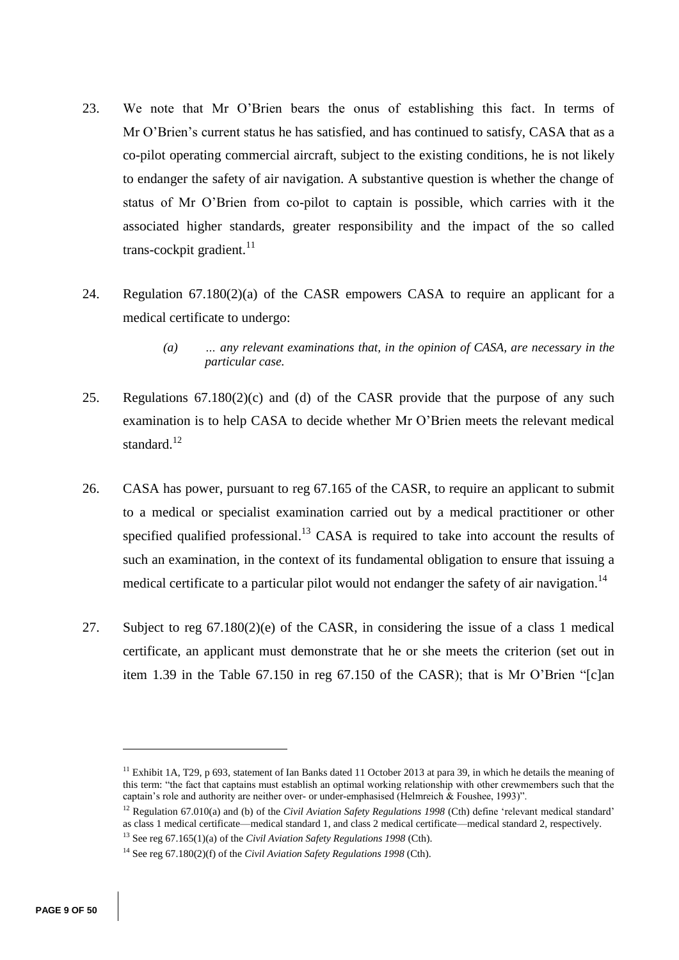- 23. We note that Mr O'Brien bears the onus of establishing this fact. In terms of Mr O'Brien's current status he has satisfied, and has continued to satisfy, CASA that as a co-pilot operating commercial aircraft, subject to the existing conditions, he is not likely to endanger the safety of air navigation. A substantive question is whether the change of status of Mr O'Brien from co-pilot to captain is possible, which carries with it the associated higher standards, greater responsibility and the impact of the so called trans-cockpit gradient.<sup>11</sup>
- 24. Regulation 67.180(2)(a) of the CASR empowers CASA to require an applicant for a medical certificate to undergo:
	- *(a) … any relevant examinations that, in the opinion of CASA, are necessary in the particular case.*
- 25. Regulations 67.180(2)(c) and (d) of the CASR provide that the purpose of any such examination is to help CASA to decide whether Mr O'Brien meets the relevant medical standard.<sup>12</sup>
- 26. CASA has power, pursuant to reg 67.165 of the CASR, to require an applicant to submit to a medical or specialist examination carried out by a medical practitioner or other specified qualified professional.<sup>13</sup> CASA is required to take into account the results of such an examination, in the context of its fundamental obligation to ensure that issuing a medical certificate to a particular pilot would not endanger the safety of air navigation.<sup>14</sup>
- 27. Subject to reg 67.180(2)(e) of the CASR, in considering the issue of a class 1 medical certificate, an applicant must demonstrate that he or she meets the criterion (set out in item 1.39 in the Table 67.150 in reg 67.150 of the CASR); that is Mr O'Brien "[c]an

<sup>&</sup>lt;sup>11</sup> Exhibit 1A, T29, p 693, statement of Ian Banks dated 11 October 2013 at para 39, in which he details the meaning of this term: "the fact that captains must establish an optimal working relationship with other crewmembers such that the captain's role and authority are neither over- or under-emphasised (Helmreich & Foushee, 1993)".

<sup>12</sup> Regulation 67.010(a) and (b) of the *Civil Aviation Safety Regulations 1998* (Cth) define 'relevant medical standard' as class 1 medical certificate—medical standard 1, and class 2 medical certificate—medical standard 2, respectively.

<sup>13</sup> See reg 67.165(1)(a) of the *Civil Aviation Safety Regulations 1998* (Cth).

<sup>14</sup> See reg 67.180(2)(f) of the *Civil Aviation Safety Regulations 1998* (Cth).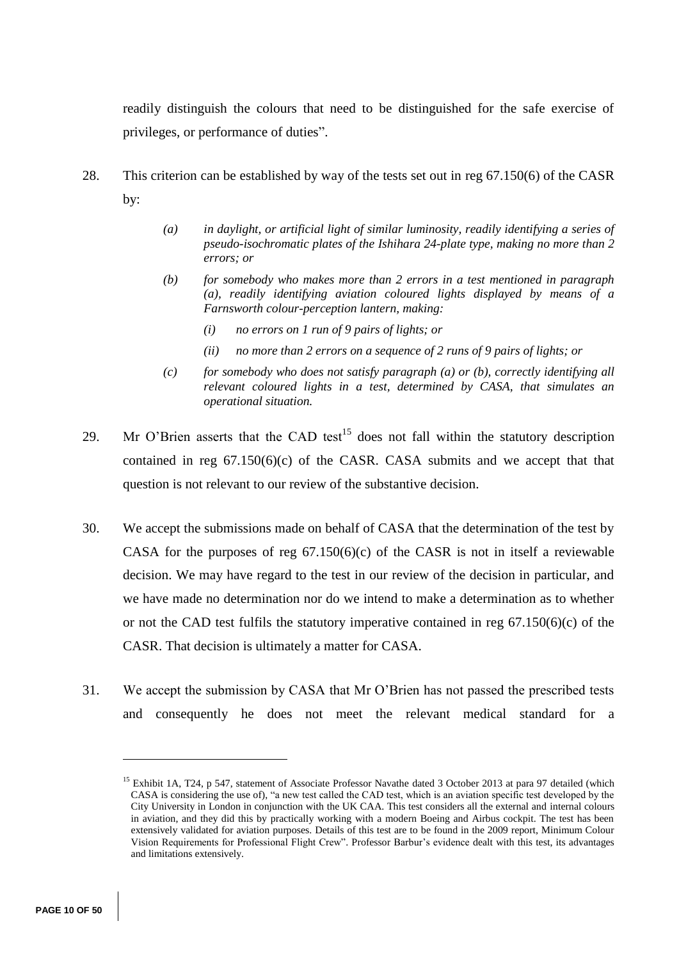readily distinguish the colours that need to be distinguished for the safe exercise of [privileges,](http://www5.austlii.edu.au/au/legis/cth/consol_reg/casr1998333/s61.010.html#privilege) or performance of duties".

- 28. This criterion can be established by way of the tests set out in reg 67.150(6) of the CASR by:
	- *(a) in daylight, or artificial light of similar luminosity, readily identifying a series of pseudo-isochromatic plates of the Ishihara 24-plate type, making no more than 2 errors; or*
	- *(b) for somebody who makes more than 2 errors in a test mentioned in paragraph (a), readily identifying aviation coloured lights displayed by means of a Farnsworth colour-perception lantern, making:* 
		- *(i) no errors on 1 run of 9 pairs of lights; or*
		- *(ii) no more than 2 errors on a sequence of 2 runs of 9 pairs of lights; or*
	- *(c) for somebody who does not satisfy paragraph (a) or (b), correctly identifying all relevant coloured lights in a test, determined by CASA, that simulates an operational situation.*
- 29. Mr O'Brien asserts that the CAD test<sup>15</sup> does not fall within the statutory description contained in reg  $67.150(6)(c)$  of the CASR. CASA submits and we accept that that question is not relevant to our review of the substantive decision.
- 30. We accept the submissions made on behalf of CASA that the determination of the test by CASA for the purposes of reg  $67.150(6)(c)$  of the CASR is not in itself a reviewable decision. We may have regard to the test in our review of the decision in particular, and we have made no determination nor do we intend to make a determination as to whether or not the CAD test fulfils the statutory imperative contained in reg 67.150(6)(c) of the CASR. That decision is ultimately a matter for CASA.
- 31. We accept the submission by CASA that Mr O'Brien has not passed the prescribed tests and consequently he does not meet the relevant medical standard for a

<sup>&</sup>lt;sup>15</sup> Exhibit 1A, T24, p 547, statement of Associate Professor Navathe dated 3 October 2013 at para 97 detailed (which CASA is considering the use of), "a new test called the CAD test, which is an aviation specific test developed by the City University in London in conjunction with the UK CAA. This test considers all the external and internal colours in aviation, and they did this by practically working with a modern Boeing and Airbus cockpit. The test has been extensively validated for aviation purposes. Details of this test are to be found in the 2009 report, Minimum Colour Vision Requirements for Professional Flight Crew". Professor Barbur's evidence dealt with this test, its advantages and limitations extensively.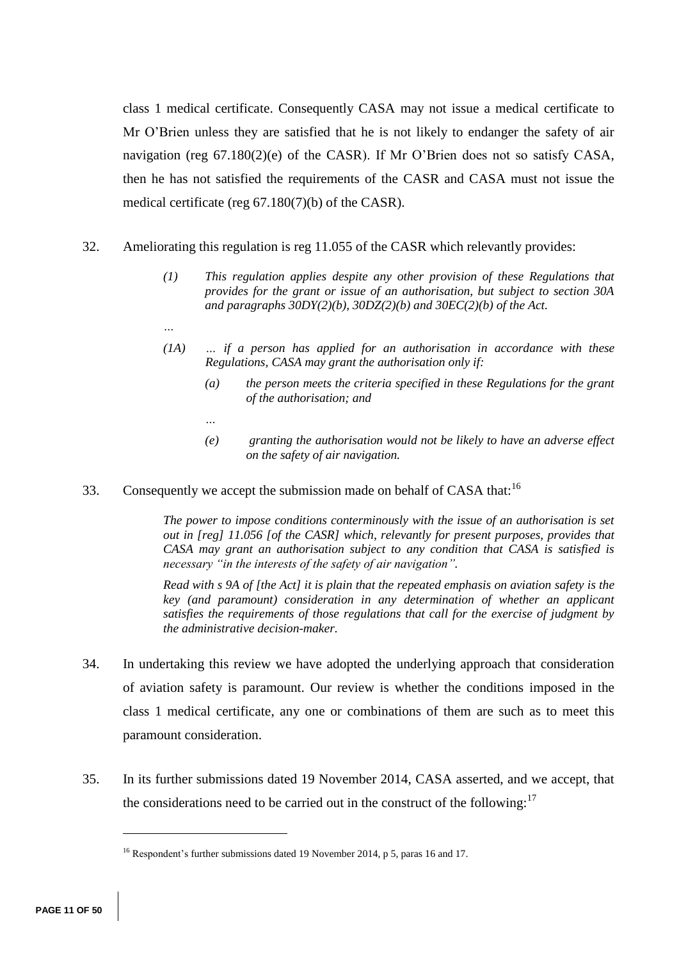class 1 medical certificate. Consequently CASA may not issue a medical certificate to Mr O'Brien unless they are satisfied that he is not likely to endanger the safety of air navigation (reg 67.180(2)(e) of the CASR). If Mr O'Brien does not so satisfy CASA, then he has not satisfied the requirements of the CASR and CASA must not issue the medical certificate (reg 67.180(7)(b) of the CASR).

- 32. Ameliorating this regulation is reg 11.055 of the CASR which relevantly provides:
	- *(1) This regulation applies despite any other provision of these Regulations that provides for the grant or issue of an authorisation, but subject to section 30A and paragraphs 30DY(2)(b), 30DZ(2)(b) and 30EC(2)(b) of the Act.*
	- *(1A) … if a person has applied for an authorisation in accordance with these Regulations, CASA may grant the authorisation only if:*
		- *(a) the person meets the criteria specified in these Regulations for the grant of the authorisation; and*
		- *…*

*…*

- *(e) granting the authorisation would not be likely to have an adverse effect on the safety of air navigation.*
- 33. Consequently we accept the submission made on behalf of CASA that:<sup>16</sup>

*The power to impose conditions conterminously with the issue of an authorisation is set out in [reg] 11.056 [of the CASR] which, relevantly for present purposes, provides that CASA may grant an authorisation subject to any condition that CASA is satisfied is necessary "in the interests of the safety of air navigation".*

*Read with s 9A of [the Act] it is plain that the repeated emphasis on aviation safety is the key (and paramount) consideration in any determination of whether an applicant satisfies the requirements of those regulations that call for the exercise of judgment by the administrative decision-maker.* 

- 34. In undertaking this review we have adopted the underlying approach that consideration of aviation safety is paramount. Our review is whether the conditions imposed in the class 1 medical certificate, any one or combinations of them are such as to meet this paramount consideration.
- 35. In its further submissions dated 19 November 2014, CASA asserted, and we accept, that the considerations need to be carried out in the construct of the following: $17$

<sup>&</sup>lt;sup>16</sup> Respondent's further submissions dated 19 November 2014, p 5, paras 16 and 17.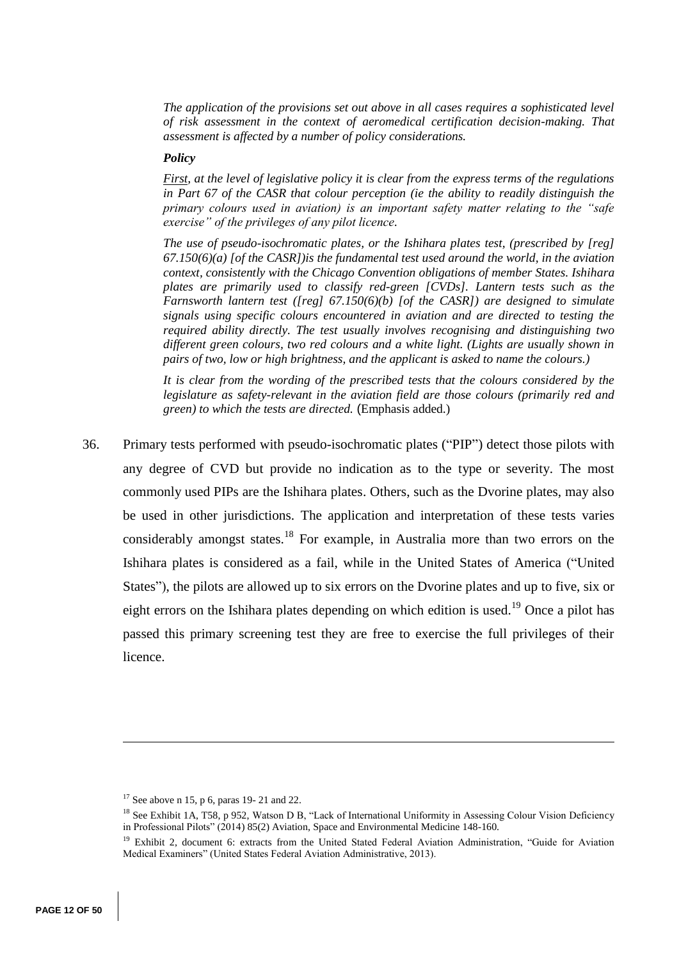*The application of the provisions set out above in all cases requires a sophisticated level of risk assessment in the context of aeromedical certification decision-making. That assessment is affected by a number of policy considerations.*

## *Policy*

*First, at the level of legislative policy it is clear from the express terms of the regulations in Part 67 of the CASR that colour perception (ie the ability to readily distinguish the primary colours used in aviation) is an important safety matter relating to the "safe exercise" of the privileges of any pilot licence.*

*The use of pseudo-isochromatic plates, or the Ishihara plates test, (prescribed by [reg] 67.150(6)(a) [of the CASR])is the fundamental test used around the world, in the aviation context, consistently with the Chicago Convention obligations of member States. Ishihara plates are primarily used to classify red-green [CVDs]. Lantern tests such as the Farnsworth lantern test ([reg] 67.150(6)(b) [of the CASR]) are designed to simulate signals using specific colours encountered in aviation and are directed to testing the required ability directly. The test usually involves recognising and distinguishing two different green colours, two red colours and a white light. (Lights are usually shown in pairs of two, low or high brightness, and the applicant is asked to name the colours.)* 

*It is clear from the wording of the prescribed tests that the colours considered by the legislature as safety-relevant in the aviation field are those colours (primarily red and green) to which the tests are directed.* (Emphasis added.)

36. Primary tests performed with pseudo-isochromatic plates ("PIP") detect those pilots with any degree of CVD but provide no indication as to the type or severity. The most commonly used PIPs are the Ishihara plates. Others, such as the Dvorine plates, may also be used in other jurisdictions. The application and interpretation of these tests varies considerably amongst states.<sup>18</sup> For example, in Australia more than two errors on the Ishihara plates is considered as a fail, while in the United States of America ("United States"), the pilots are allowed up to six errors on the Dvorine plates and up to five, six or eight errors on the Ishihara plates depending on which edition is used.<sup>19</sup> Once a pilot has passed this primary screening test they are free to exercise the full privileges of their licence.

<sup>&</sup>lt;sup>17</sup> See above n 15, p 6, paras 19- 21 and 22.

<sup>&</sup>lt;sup>18</sup> See Exhibit 1A, T58, p 952, Watson D B, "Lack of International Uniformity in Assessing Colour Vision Deficiency in Professional Pilots" (2014) 85(2) Aviation, Space and Environmental Medicine 148-160.

<sup>&</sup>lt;sup>19</sup> Exhibit 2, document 6: extracts from the United Stated Federal Aviation Administration, "Guide for Aviation Medical Examiners" (United States Federal Aviation Administrative, 2013).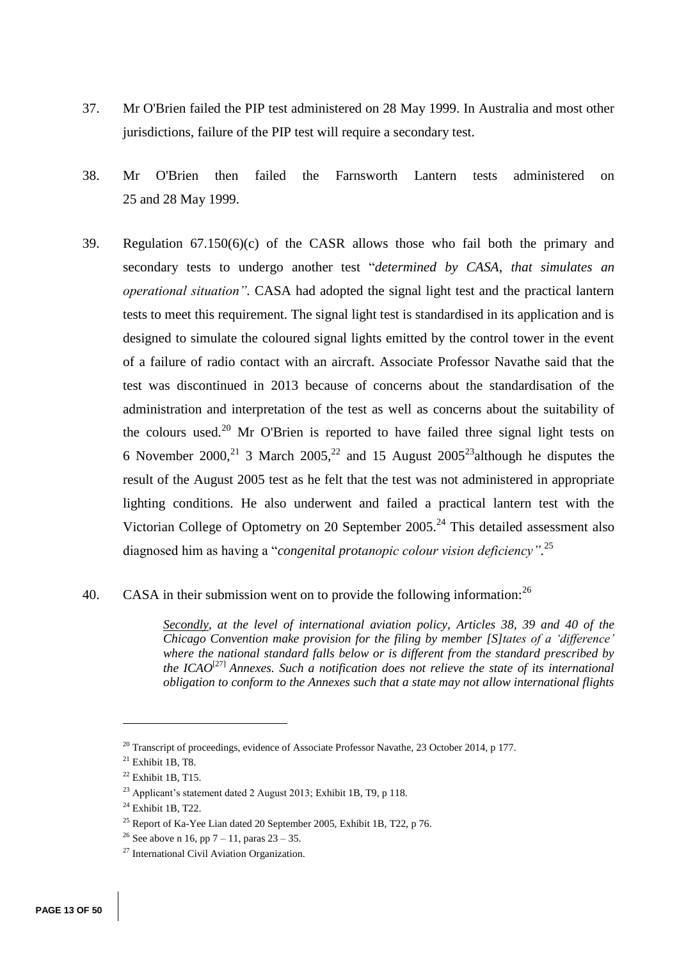- 37. Mr O'Brien failed the PIP test administered on 28 May 1999. In Australia and most other jurisdictions, failure of the PIP test will require a secondary test.
- 38. Mr O'Brien then failed the Farnsworth Lantern tests administered on 25 and 28 May 1999.
- 39. Regulation 67.150(6)(c) of the CASR allows those who fail both the primary and secondary tests to undergo another test "*determined by CASA, that simulates an operational situation".* CASA had adopted the signal light test and the practical lantern tests to meet this requirement. The signal light test is standardised in its application and is designed to simulate the coloured signal lights emitted by the control tower in the event of a failure of radio contact with an aircraft. Associate Professor Navathe said that the test was discontinued in 2013 because of concerns about the standardisation of the administration and interpretation of the test as well as concerns about the suitability of the colours used.<sup>20</sup> Mr O'Brien is reported to have failed three signal light tests on 6 November 2000,<sup>21</sup> 3 March 2005,<sup>22</sup> and 15 August 2005<sup>23</sup> although he disputes the result of the August 2005 test as he felt that the test was not administered in appropriate lighting conditions. He also underwent and failed a practical lantern test with the Victorian College of Optometry on 20 September  $2005.<sup>24</sup>$  This detailed assessment also diagnosed him as having a "*congenital protanopic colour vision deficiency".* 25

# 40. CASA in their submission went on to provide the following information:  $26$

*Secondly, at the level of international aviation policy, Articles 38, 39 and 40 of the Chicago Convention make provision for the filing by member [S]tates of a 'difference' where the national standard falls below or is different from the standard prescribed by the ICAO*[27] *Annexes. Such a notification does not relieve the state of its international obligation to conform to the Annexes such that a state may not allow international flights* 

 $^{20}$  Transcript of proceedings, evidence of Associate Professor Navathe, 23 October 2014, p 177.

 $21$  Exhibit 1B, T8.

 $22$  Exhibit 1B, T15.

<sup>23</sup> Applicant's statement dated 2 August 2013; Exhibit 1B, T9, p 118.

<sup>24</sup> Exhibit 1B, T22.

<sup>&</sup>lt;sup>25</sup> Report of Ka-Yee Lian dated 20 September 2005, Exhibit 1B, T22, p 76.

<sup>&</sup>lt;sup>26</sup> See above n 16, pp 7 – 11, paras  $23 - 35$ .

<sup>27</sup> International Civil Aviation Organization.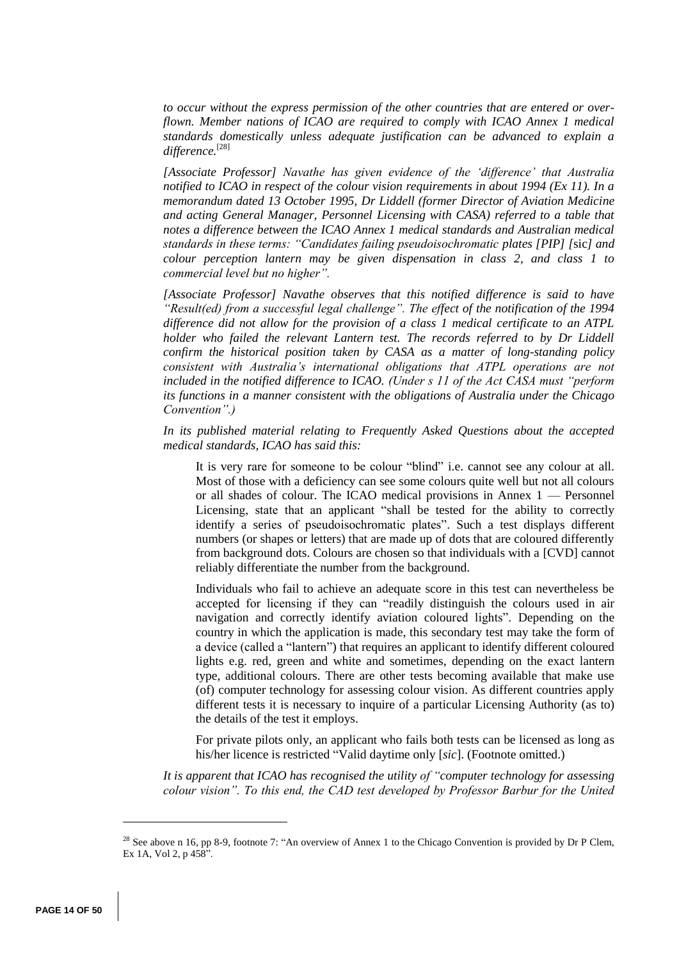*to occur without the express permission of the other countries that are entered or overflown. Member nations of ICAO are required to comply with ICAO Annex 1 medical standards domestically unless adequate justification can be advanced to explain a difference.* [28]

*[Associate Professor] Navathe has given evidence of the 'difference' that Australia notified to ICAO in respect of the colour vision requirements in about 1994 (Ex 11). In a memorandum dated 13 October 1995, Dr Liddell (former Director of Aviation Medicine and acting General Manager, Personnel Licensing with CASA) referred to a table that notes a difference between the ICAO Annex 1 medical standards and Australian medical standards in these terms: "Candidates failing pseudoisochromatic plates [PIP] [*sic*] and colour perception lantern may be given dispensation in class 2, and class 1 to commercial level but no higher".* 

*[Associate Professor] Navathe observes that this notified difference is said to have "Result(ed) from a successful legal challenge". The effect of the notification of the 1994 difference did not allow for the provision of a class 1 medical certificate to an ATPL holder who failed the relevant Lantern test. The records referred to by Dr Liddell confirm the historical position taken by CASA as a matter of long-standing policy consistent with Australia's international obligations that ATPL operations are not included in the notified difference to ICAO. (Under s 11 of the Act CASA must "perform its functions in a manner consistent with the obligations of Australia under the Chicago Convention".)*

*In its published material relating to Frequently Asked Questions about the accepted medical standards, ICAO has said this:*

It is very rare for someone to be colour "blind" i.e. cannot see any colour at all. Most of those with a deficiency can see some colours quite well but not all colours or all shades of colour. The ICAO medical provisions in Annex 1 — Personnel Licensing, state that an applicant "shall be tested for the ability to correctly identify a series of pseudoisochromatic plates". Such a test displays different numbers (or shapes or letters) that are made up of dots that are coloured differently from background dots. Colours are chosen so that individuals with a [CVD] cannot reliably differentiate the number from the background.

Individuals who fail to achieve an adequate score in this test can nevertheless be accepted for licensing if they can "readily distinguish the colours used in air navigation and correctly identify aviation coloured lights". Depending on the country in which the application is made, this secondary test may take the form of a device (called a "lantern") that requires an applicant to identify different coloured lights e.g. red, green and white and sometimes, depending on the exact lantern type, additional colours. There are other tests becoming available that make use (of) computer technology for assessing colour vision. As different countries apply different tests it is necessary to inquire of a particular Licensing Authority (as to) the details of the test it employs.

For private pilots only, an applicant who fails both tests can be licensed as long as his/her licence is restricted "Valid daytime only [*sic*]. (Footnote omitted.)

*It is apparent that ICAO has recognised the utility of "computer technology for assessing colour vision". To this end, the CAD test developed by Professor Barbur for the United* 

<sup>&</sup>lt;sup>28</sup> See above n 16, pp 8-9, footnote 7: "An overview of Annex 1 to the Chicago Convention is provided by Dr P Clem, Ex 1A, Vol 2, p 458".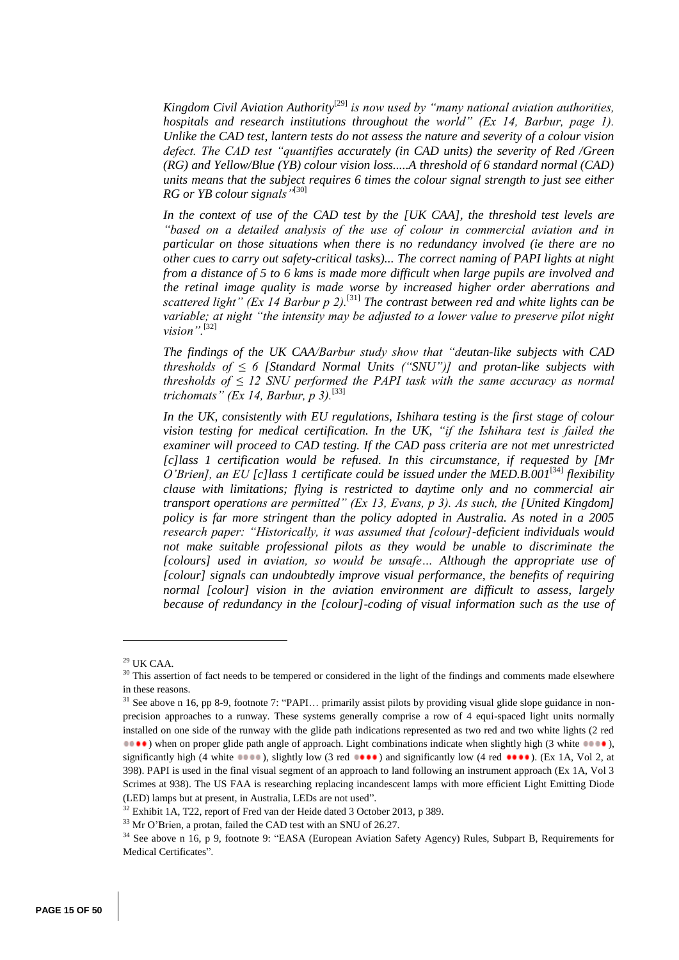Kingdom Civil Aviation Authority<sup>[29]</sup> is now used by "many national aviation authorities, *hospitals and research institutions throughout the world" (Ex 14, Barbur, page 1). Unlike the CAD test, lantern tests do not assess the nature and severity of a colour vision defect. The CAD test "quantifies accurately (in CAD units) the severity of Red /Green (RG) and Yellow/Blue (YB) colour vision loss.....A threshold of 6 standard normal (CAD) units means that the subject requires 6 times the colour signal strength to just see either RG or YB colour signals"*[30]

*In the context of use of the CAD test by the [UK CAA], the threshold test levels are "based on a detailed analysis of the use of colour in commercial aviation and in particular on those situations when there is no redundancy involved (ie there are no other cues to carry out safety-critical tasks)... The correct naming of PAPI lights at night from a distance of 5 to 6 kms is made more difficult when large pupils are involved and the retinal image quality is made worse by increased higher order aberrations and*  scattered light" (Ex 14 Barbur p 2).<sup>[31]</sup> The contrast between red and white lights can be *variable; at night "the intensity may be adjusted to a lower value to preserve pilot night vision".*[32]

*The findings of the UK CAA/Barbur study show that "deutan-like subjects with CAD thresholds of ≤ 6 [Standard Normal Units ("SNU")] and protan-like subjects with thresholds of*  $\leq 12$  *SNU performed the PAPI task with the same accuracy as normal trichomats" (Ex 14, Barbur, p 3).*[33]

*In the UK, consistently with EU regulations, Ishihara testing is the first stage of colour vision testing for medical certification. In the UK, "if the Ishihara test is failed the examiner will proceed to CAD testing. If the CAD pass criteria are not met unrestricted [c]lass 1 certification would be refused. In this circumstance, if requested by [Mr*  O'Brien], an EU [c]lass 1 certificate could be issued under the MED.B.001<sup>[34]</sup> flexibility *clause with limitations; flying is restricted to daytime only and no commercial air transport operations are permitted" (Ex 13, Evans, p 3). As such, the [United Kingdom]* policy is far more stringent than the policy adopted in Australia. As noted in a 2005 *research paper: "Historically, it was assumed that [colour]-deficient individuals would not make suitable professional pilots as they would be unable to discriminate the [colours] used in aviation, so would be unsafe… Although the appropriate use of [colour] signals can undoubtedly improve visual performance, the benefits of requiring normal [colour] vision in the aviation environment are difficult to assess, largely because of redundancy in the [colour]-coding of visual information such as the use of* 

 $29$  UK CAA.

<sup>&</sup>lt;sup>30</sup> This assertion of fact needs to be tempered or considered in the light of the findings and comments made elsewhere in these reasons.

<sup>&</sup>lt;sup>31</sup> See above n 16, pp 8-9, footnote 7: "PAPI... primarily assist pilots by providing visual glide slope guidance in nonprecision approaches to a runway. These systems generally comprise a row of 4 equi-spaced light units normally installed on one side of the runway with the glide path indications represented as two red and two white lights (2 red **1000**) when on proper glide path angle of approach. Light combinations indicate when slightly high (3 white  $\bullet\bullet\bullet\bullet\bullet$ ), significantly high (4 white  $\bullet \bullet \bullet \bullet$ ), slightly low (3 red  $\bullet \bullet \bullet \bullet$ ) and significantly low (4 red  $\bullet \bullet \bullet \bullet$ ). (Ex 1A, Vol 2, at 398). PAPI is used in the final visual segment of an approach to land following an instrument approach (Ex 1A, Vol 3 Scrimes at 938). The US FAA is researching replacing incandescent lamps with more efficient Light Emitting Diode (LED) lamps but at present, in Australia, LEDs are not used".

<sup>&</sup>lt;sup>32</sup> Exhibit 1A, T22, report of Fred van der Heide dated 3 October 2013, p 389.

<sup>33</sup> Mr O'Brien, a protan, failed the CAD test with an SNU of 26.27.

<sup>34</sup> See above n 16, p 9, footnote 9: "EASA (European Aviation Safety Agency) Rules, Subpart B, Requirements for Medical Certificates".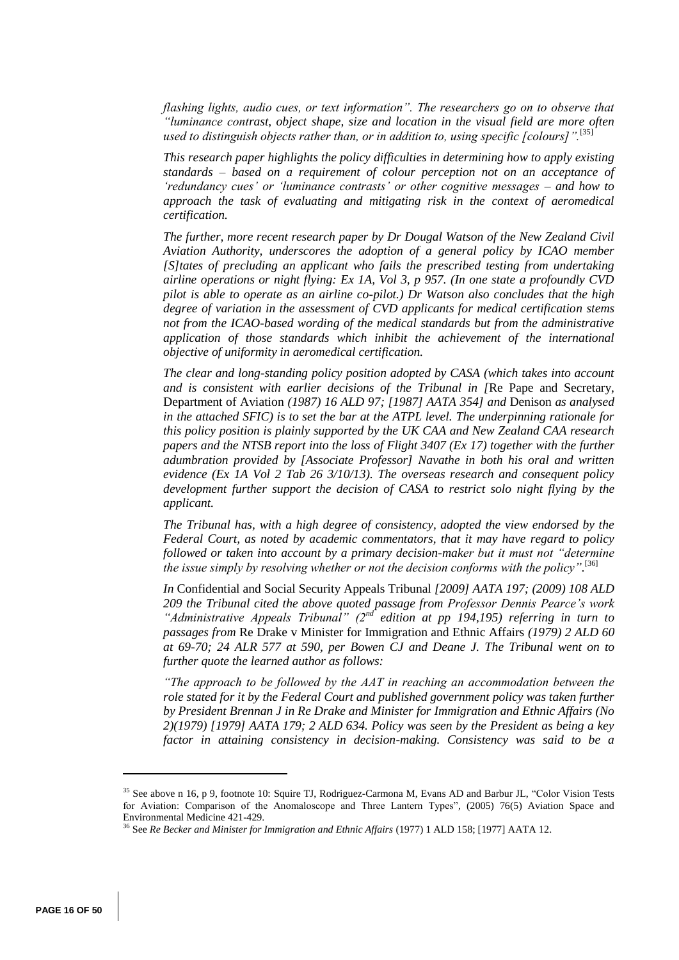*flashing lights, audio cues, or text information". The researchers go on to observe that "luminance contrast, object shape, size and location in the visual field are more often used to distinguish objects rather than, or in addition to, using specific [colours]".*[35]

*This research paper highlights the policy difficulties in determining how to apply existing standards – based on a requirement of colour perception not on an acceptance of 'redundancy cues' or 'luminance contrasts' or other cognitive messages – and how to approach the task of evaluating and mitigating risk in the context of aeromedical certification.*

*The further, more recent research paper by Dr Dougal Watson of the New Zealand Civil Aviation Authority, underscores the adoption of a general policy by ICAO member [S]tates of precluding an applicant who fails the prescribed testing from undertaking airline operations or night flying: Ex 1A, Vol 3, p 957. (In one state a profoundly CVD pilot is able to operate as an airline co-pilot.) Dr Watson also concludes that the high degree of variation in the assessment of CVD applicants for medical certification stems not from the ICAO-based wording of the medical standards but from the administrative application of those standards which inhibit the achievement of the international objective of uniformity in aeromedical certification.* 

*The clear and long-standing policy position adopted by CASA (which takes into account and is consistent with earlier decisions of the Tribunal in [*Re Pape and Secretary, Department of Aviation *(1987) 16 ALD 97; [1987] AATA 354] and* Denison *as analysed in the attached SFIC) is to set the bar at the ATPL level. The underpinning rationale for this policy position is plainly supported by the UK CAA and New Zealand CAA research papers and the NTSB report into the loss of Flight 3407 (Ex 17) together with the further adumbration provided by [Associate Professor] Navathe in both his oral and written evidence (Ex 1A Vol 2 Tab 26 3/10/13). The overseas research and consequent policy development further support the decision of CASA to restrict solo night flying by the applicant.* 

*The Tribunal has, with a high degree of consistency, adopted the view endorsed by the Federal Court, as noted by academic commentators, that it may have regard to policy followed or taken into account by a primary decision-maker but it must not "determine the issue simply by resolving whether or not the decision conforms with the policy".* [36]

*In* Confidential and Social Security Appeals Tribunal *[2009] AATA 197; (2009) 108 ALD 209 the Tribunal cited the above quoted passage from Professor Dennis Pearce's work "Administrative Appeals Tribunal" (2nd edition at pp 194,195) referring in turn to passages from* Re Drake v Minister for Immigration and Ethnic Affairs *(1979) 2 ALD 60 at 69-70; 24 ALR 577 at 590, per Bowen CJ and Deane J. The Tribunal went on to further quote the learned author as follows:*

*"The approach to be followed by the AAT in reaching an accommodation between the role stated for it by the Federal Court and published government policy was taken further by President Brennan J in Re Drake and Minister for Immigration and Ethnic Affairs (No 2)(1979) [1979] AATA 179; 2 ALD 634. Policy was seen by the President as being a key factor in attaining consistency in decision-making. Consistency was said to be a* 

<sup>&</sup>lt;sup>35</sup> See above n 16, p 9, footnote 10: Squire TJ, Rodriguez-Carmona M, Evans AD and Barbur JL, "Color Vision Tests for Aviation: Comparison of the Anomaloscope and Three Lantern Types", (2005) 76(5) Aviation Space and Environmental Medicine 421-429.

<sup>&</sup>lt;sup>36</sup> See *Re Becker and Minister for Immigration and Ethnic Affairs* (1977) 1 ALD 158; [1977] AATA 12.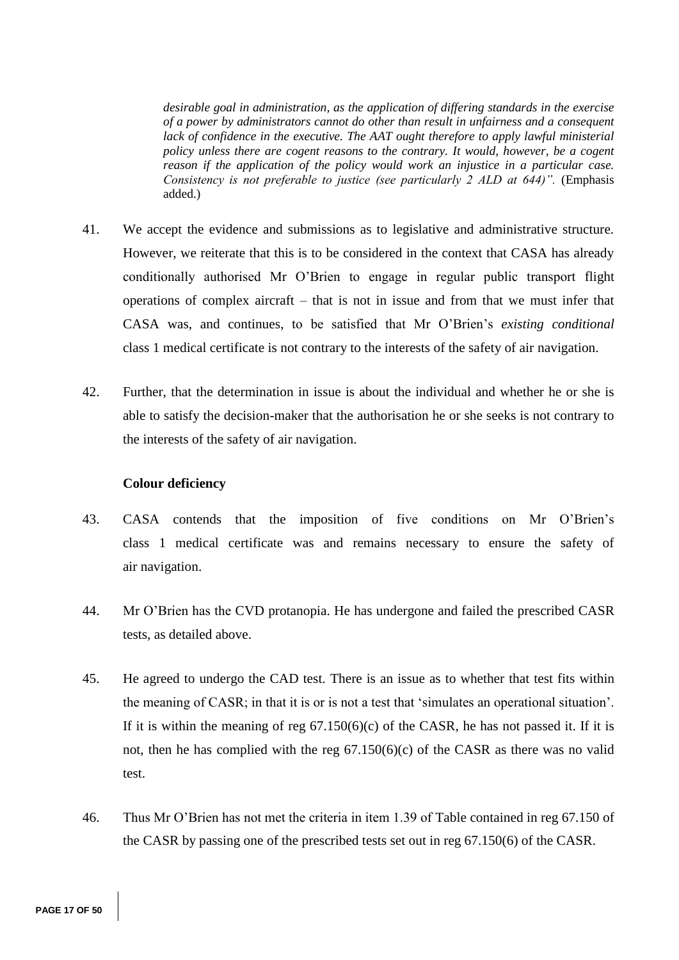*desirable goal in administration, as the application of differing standards in the exercise of a power by administrators cannot do other than result in unfairness and a consequent*  lack of confidence in the executive. The AAT ought therefore to apply lawful ministerial *policy unless there are cogent reasons to the contrary. It would, however, be a cogent reason if the application of the policy would work an injustice in a particular case. Consistency is not preferable to justice (see particularly 2 ALD at 644)".* (Emphasis added.)

- 41. We accept the evidence and submissions as to legislative and administrative structure. However, we reiterate that this is to be considered in the context that CASA has already conditionally authorised Mr O'Brien to engage in regular public transport flight operations of complex aircraft – that is not in issue and from that we must infer that CASA was, and continues, to be satisfied that Mr O'Brien's *existing conditional* class 1 medical certificate is not contrary to the interests of the safety of air navigation.
- 42. Further, that the determination in issue is about the individual and whether he or she is able to satisfy the decision-maker that the authorisation he or she seeks is not contrary to the interests of the safety of air navigation.

### **Colour deficiency**

- 43. CASA contends that the imposition of five conditions on Mr O'Brien's class 1 medical certificate was and remains necessary to ensure the safety of air navigation.
- 44. Mr O'Brien has the CVD protanopia. He has undergone and failed the prescribed CASR tests, as detailed above.
- 45. He agreed to undergo the CAD test. There is an issue as to whether that test fits within the meaning of CASR; in that it is or is not a test that 'simulates an operational situation'. If it is within the meaning of reg  $67.150(6)(c)$  of the CASR, he has not passed it. If it is not, then he has complied with the reg 67.150(6)(c) of the CASR as there was no valid test.
- 46. Thus Mr O'Brien has not met the criteria in item 1.39 of Table contained in reg 67.150 of the CASR by passing one of the prescribed tests set out in reg 67.150(6) of the CASR.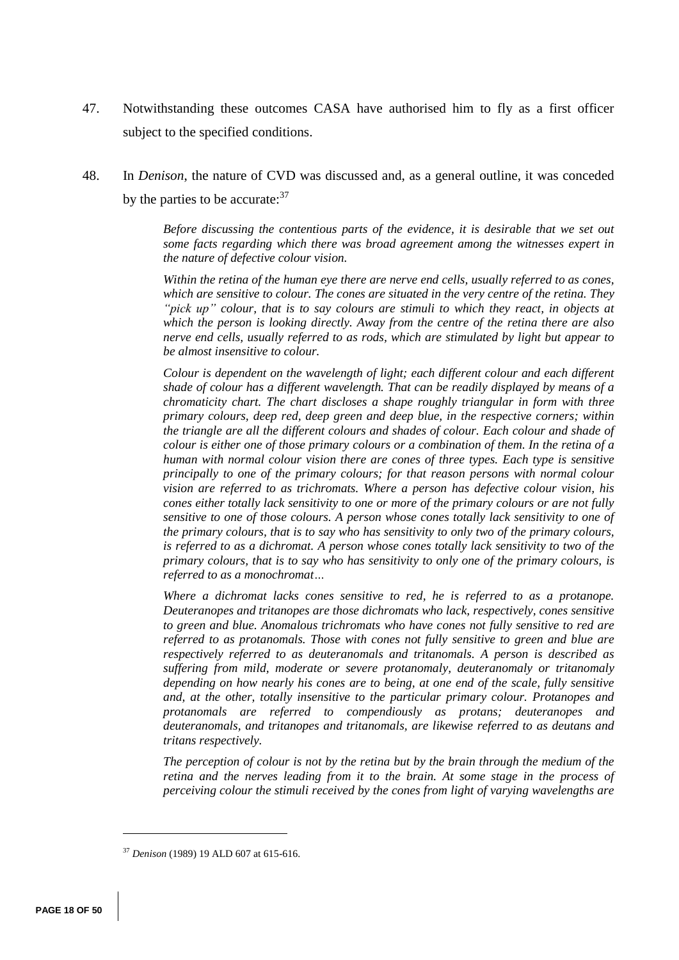- 47. Notwithstanding these outcomes CASA have authorised him to fly as a first officer subject to the specified conditions.
- 48. In *Denison*, the nature of CVD was discussed and, as a general outline, it was conceded by the parties to be accurate:<sup>37</sup>

*Before discussing the contentious parts of the evidence, it is desirable that we set out some facts regarding which there was broad agreement among the witnesses expert in the nature of defective colour vision.* 

*Within the retina of the human eye there are nerve end cells, usually referred to as cones, which are sensitive to colour. The cones are situated in the very centre of the retina. They "pick up" colour, that is to say colours are stimuli to which they react, in objects at which the person is looking directly. Away from the centre of the retina there are also nerve end cells, usually referred to as rods, which are stimulated by light but appear to be almost insensitive to colour.* 

*Colour is dependent on the wavelength of light; each different colour and each different shade of colour has a different wavelength. That can be readily displayed by means of a chromaticity chart. The chart discloses a shape roughly triangular in form with three primary colours, deep red, deep green and deep blue, in the respective corners; within the triangle are all the different colours and shades of colour. Each colour and shade of colour is either one of those primary colours or a combination of them. In the retina of a human with normal colour vision there are cones of three types. Each type is sensitive principally to one of the primary colours; for that reason persons with normal colour vision are referred to as trichromats. Where a person has defective colour vision, his cones either totally lack sensitivity to one or more of the primary colours or are not fully sensitive to one of those colours. A person whose cones totally lack sensitivity to one of the primary colours, that is to say who has sensitivity to only two of the primary colours, is referred to as a dichromat. A person whose cones totally lack sensitivity to two of the primary colours, that is to say who has sensitivity to only one of the primary colours, is referred to as a monochromat…*

*Where a dichromat lacks cones sensitive to red, he is referred to as a protanope. Deuteranopes and tritanopes are those dichromats who lack, respectively, cones sensitive to green and blue. Anomalous trichromats who have cones not fully sensitive to red are referred to as protanomals. Those with cones not fully sensitive to green and blue are respectively referred to as deuteranomals and tritanomals. A person is described as suffering from mild, moderate or severe protanomaly, deuteranomaly or tritanomaly depending on how nearly his cones are to being, at one end of the scale, fully sensitive and, at the other, totally insensitive to the particular primary colour. Protanopes and protanomals are referred to compendiously as protans; deuteranopes and deuteranomals, and tritanopes and tritanomals, are likewise referred to as deutans and tritans respectively.* 

*The perception of colour is not by the retina but by the brain through the medium of the retina and the nerves leading from it to the brain. At some stage in the process of perceiving colour the stimuli received by the cones from light of varying wavelengths are* 

<sup>37</sup> *Denison* (1989) 19 ALD 607 at 615-616.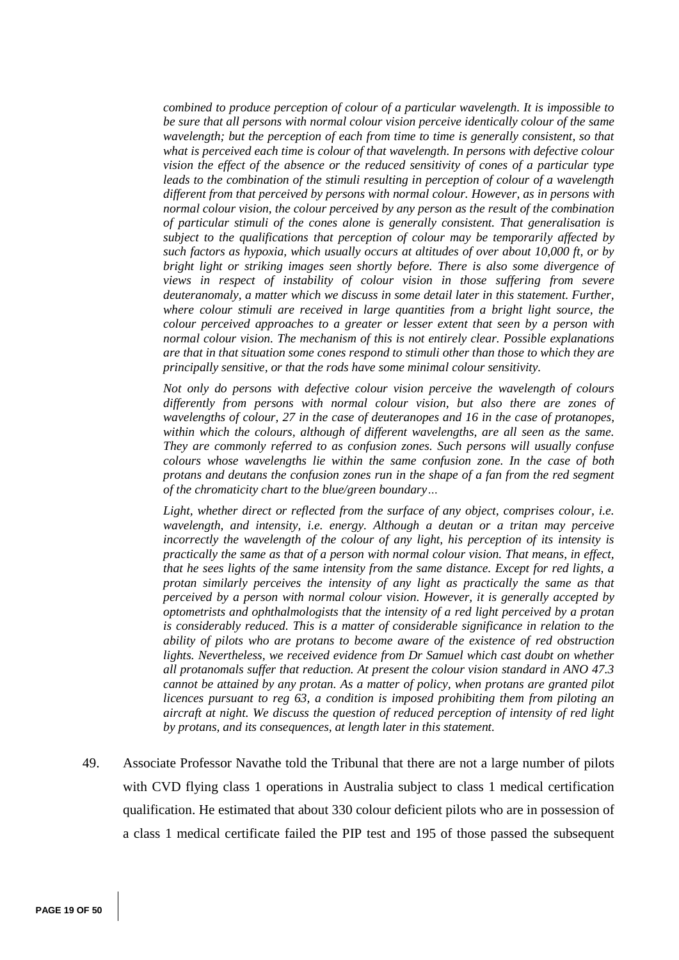*combined to produce perception of colour of a particular wavelength. It is impossible to be sure that all persons with normal colour vision perceive identically colour of the same wavelength; but the perception of each from time to time is generally consistent, so that what is perceived each time is colour of that wavelength. In persons with defective colour vision the effect of the absence or the reduced sensitivity of cones of a particular type leads to the combination of the stimuli resulting in perception of colour of a wavelength different from that perceived by persons with normal colour. However, as in persons with normal colour vision, the colour perceived by any person as the result of the combination of particular stimuli of the cones alone is generally consistent. That generalisation is subject to the qualifications that perception of colour may be temporarily affected by such factors as hypoxia, which usually occurs at altitudes of over about 10,000 ft, or by bright light or striking images seen shortly before. There is also some divergence of views in respect of instability of colour vision in those suffering from severe deuteranomaly, a matter which we discuss in some detail later in this statement. Further, where colour stimuli are received in large quantities from a bright light source, the colour perceived approaches to a greater or lesser extent that seen by a person with normal colour vision. The mechanism of this is not entirely clear. Possible explanations are that in that situation some cones respond to stimuli other than those to which they are principally sensitive, or that the rods have some minimal colour sensitivity.* 

*Not only do persons with defective colour vision perceive the wavelength of colours differently from persons with normal colour vision, but also there are zones of wavelengths of colour, 27 in the case of deuteranopes and 16 in the case of protanopes, within which the colours, although of different wavelengths, are all seen as the same. They are commonly referred to as confusion zones. Such persons will usually confuse colours whose wavelengths lie within the same confusion zone. In the case of both protans and deutans the confusion zones run in the shape of a fan from the red segment of the chromaticity chart to the blue/green boundary…*

Light, whether direct or reflected from the surface of any object, comprises colour, i.e. *wavelength, and intensity, i.e. energy. Although a deutan or a tritan may perceive incorrectly the wavelength of the colour of any light, his perception of its intensity is practically the same as that of a person with normal colour vision. That means, in effect, that he sees lights of the same intensity from the same distance. Except for red lights, a protan similarly perceives the intensity of any light as practically the same as that perceived by a person with normal colour vision. However, it is generally accepted by optometrists and ophthalmologists that the intensity of a red light perceived by a protan is considerably reduced. This is a matter of considerable significance in relation to the ability of pilots who are protans to become aware of the existence of red obstruction lights. Nevertheless, we received evidence from Dr Samuel which cast doubt on whether all protanomals suffer that reduction. At present the colour vision standard in ANO 47.3 cannot be attained by any protan. As a matter of policy, when protans are granted pilot licences pursuant to reg 63, a condition is imposed prohibiting them from piloting an aircraft at night. We discuss the question of reduced perception of intensity of red light by protans, and its consequences, at length later in this statement.*

49. Associate Professor Navathe told the Tribunal that there are not a large number of pilots with CVD flying class 1 operations in Australia subject to class 1 medical certification qualification. He estimated that about 330 colour deficient pilots who are in possession of a class 1 medical certificate failed the PIP test and 195 of those passed the subsequent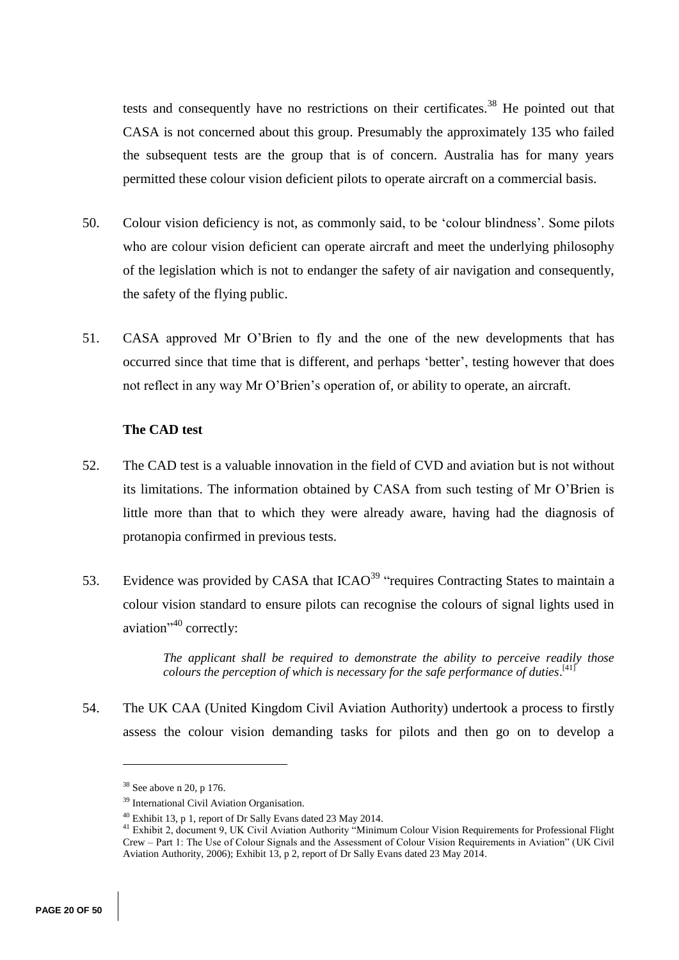tests and consequently have no restrictions on their certificates.<sup>38</sup> He pointed out that CASA is not concerned about this group. Presumably the approximately 135 who failed the subsequent tests are the group that is of concern. Australia has for many years permitted these colour vision deficient pilots to operate aircraft on a commercial basis.

- 50. Colour vision deficiency is not, as commonly said, to be 'colour blindness'. Some pilots who are colour vision deficient can operate aircraft and meet the underlying philosophy of the legislation which is not to endanger the safety of air navigation and consequently, the safety of the flying public.
- 51. CASA approved Mr O'Brien to fly and the one of the new developments that has occurred since that time that is different, and perhaps 'better', testing however that does not reflect in any way Mr O'Brien's operation of, or ability to operate, an aircraft.

## **The CAD test**

- 52. The CAD test is a valuable innovation in the field of CVD and aviation but is not without its limitations. The information obtained by CASA from such testing of Mr O'Brien is little more than that to which they were already aware, having had the diagnosis of protanopia confirmed in previous tests.
- 53. Evidence was provided by CASA that ICAO<sup>39</sup> "requires Contracting States to maintain a colour vision standard to ensure pilots can recognise the colours of signal lights used in aviation"<sup>40</sup> correctly:

*The applicant shall be required to demonstrate the ability to perceive readily those colours the perception of which is necessary for the safe performance of duties*. [41]

54. The UK CAA (United Kingdom Civil Aviation Authority) undertook a process to firstly assess the colour vision demanding tasks for pilots and then go on to develop a

 $38$  See above n 20, p 176.

<sup>39</sup> International Civil Aviation Organisation.

<sup>40</sup> Exhibit 13, p 1, report of Dr Sally Evans dated 23 May 2014.

<sup>&</sup>lt;sup>41</sup> Exhibit 2, document 9, UK Civil Aviation Authority "Minimum Colour Vision Requirements for Professional Flight Crew – Part 1: The Use of Colour Signals and the Assessment of Colour Vision Requirements in Aviation" (UK Civil Aviation Authority, 2006); Exhibit 13, p 2, report of Dr Sally Evans dated 23 May 2014.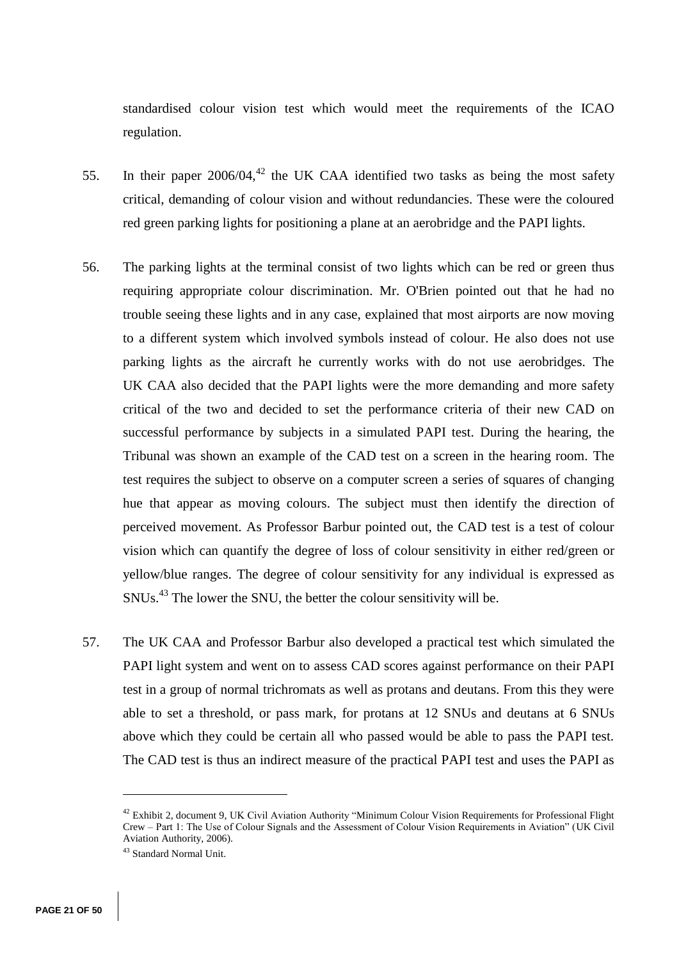standardised colour vision test which would meet the requirements of the ICAO regulation.

- 55. In their paper  $2006/04$ ,<sup>42</sup> the UK CAA identified two tasks as being the most safety critical, demanding of colour vision and without redundancies. These were the coloured red green parking lights for positioning a plane at an aerobridge and the PAPI lights.
- 56. The parking lights at the terminal consist of two lights which can be red or green thus requiring appropriate colour discrimination. Mr. O'Brien pointed out that he had no trouble seeing these lights and in any case, explained that most airports are now moving to a different system which involved symbols instead of colour. He also does not use parking lights as the aircraft he currently works with do not use aerobridges. The UK CAA also decided that the PAPI lights were the more demanding and more safety critical of the two and decided to set the performance criteria of their new CAD on successful performance by subjects in a simulated PAPI test. During the hearing, the Tribunal was shown an example of the CAD test on a screen in the hearing room. The test requires the subject to observe on a computer screen a series of squares of changing hue that appear as moving colours. The subject must then identify the direction of perceived movement. As Professor Barbur pointed out, the CAD test is a test of colour vision which can quantify the degree of loss of colour sensitivity in either red/green or yellow/blue ranges. The degree of colour sensitivity for any individual is expressed as SNUs.<sup>43</sup> The lower the SNU, the better the colour sensitivity will be.
- 57. The UK CAA and Professor Barbur also developed a practical test which simulated the PAPI light system and went on to assess CAD scores against performance on their PAPI test in a group of normal trichromats as well as protans and deutans. From this they were able to set a threshold, or pass mark, for protans at 12 SNUs and deutans at 6 SNUs above which they could be certain all who passed would be able to pass the PAPI test. The CAD test is thus an indirect measure of the practical PAPI test and uses the PAPI as

<sup>&</sup>lt;sup>42</sup> Exhibit 2, document 9, UK Civil Aviation Authority "Minimum Colour Vision Requirements for Professional Flight Crew – Part 1: The Use of Colour Signals and the Assessment of Colour Vision Requirements in Aviation" (UK Civil Aviation Authority, 2006).

<sup>43</sup> Standard Normal Unit.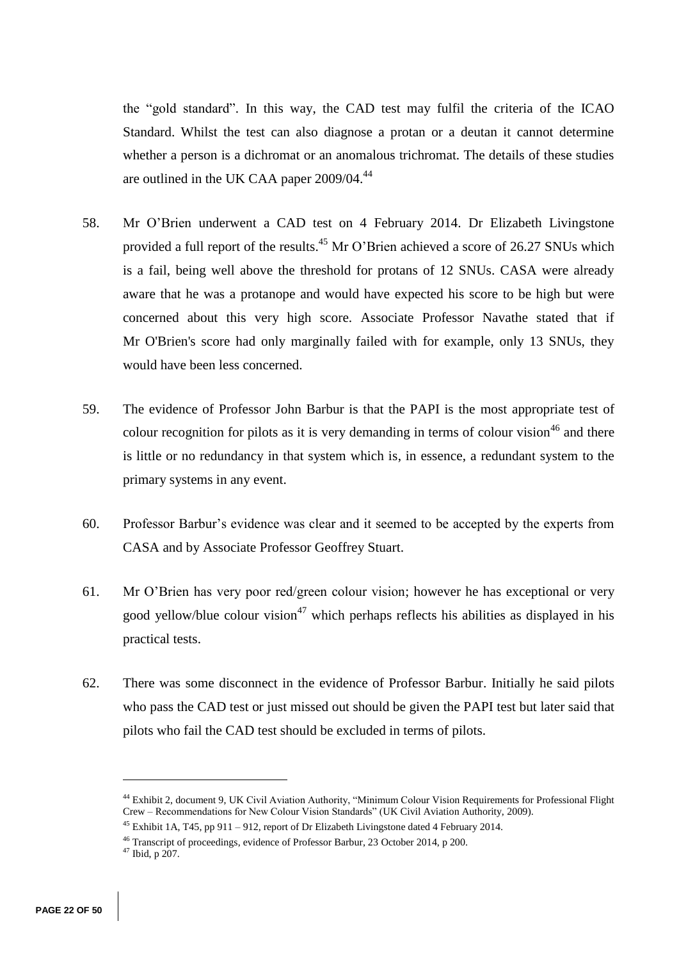the "gold standard". In this way, the CAD test may fulfil the criteria of the ICAO Standard. Whilst the test can also diagnose a protan or a deutan it cannot determine whether a person is a dichromat or an anomalous trichromat. The details of these studies are outlined in the UK CAA paper 2009/04.<sup>44</sup>

- 58. Mr O'Brien underwent a CAD test on 4 February 2014. Dr Elizabeth Livingstone provided a full report of the results.<sup>45</sup> Mr O'Brien achieved a score of 26.27 SNUs which is a fail, being well above the threshold for protans of 12 SNUs. CASA were already aware that he was a protanope and would have expected his score to be high but were concerned about this very high score. Associate Professor Navathe stated that if Mr O'Brien's score had only marginally failed with for example, only 13 SNUs, they would have been less concerned.
- 59. The evidence of Professor John Barbur is that the PAPI is the most appropriate test of colour recognition for pilots as it is very demanding in terms of colour vision  $46$  and there is little or no redundancy in that system which is, in essence, a redundant system to the primary systems in any event.
- 60. Professor Barbur's evidence was clear and it seemed to be accepted by the experts from CASA and by Associate Professor Geoffrey Stuart.
- 61. Mr O'Brien has very poor red/green colour vision; however he has exceptional or very good yellow/blue colour vision<sup>47</sup> which perhaps reflects his abilities as displayed in his practical tests.
- 62. There was some disconnect in the evidence of Professor Barbur. Initially he said pilots who pass the CAD test or just missed out should be given the PAPI test but later said that pilots who fail the CAD test should be excluded in terms of pilots.

<sup>44</sup> Exhibit 2, document 9, UK Civil Aviation Authority, "Minimum Colour Vision Requirements for Professional Flight Crew – Recommendations for New Colour Vision Standards" (UK Civil Aviation Authority, 2009).

<sup>&</sup>lt;sup>45</sup> Exhibit 1A, T45, pp 911 – 912, report of Dr Elizabeth Livingstone dated 4 February 2014.

<sup>46</sup> Transcript of proceedings, evidence of Professor Barbur, 23 October 2014, p 200.

<sup>47</sup> Ibid, p 207.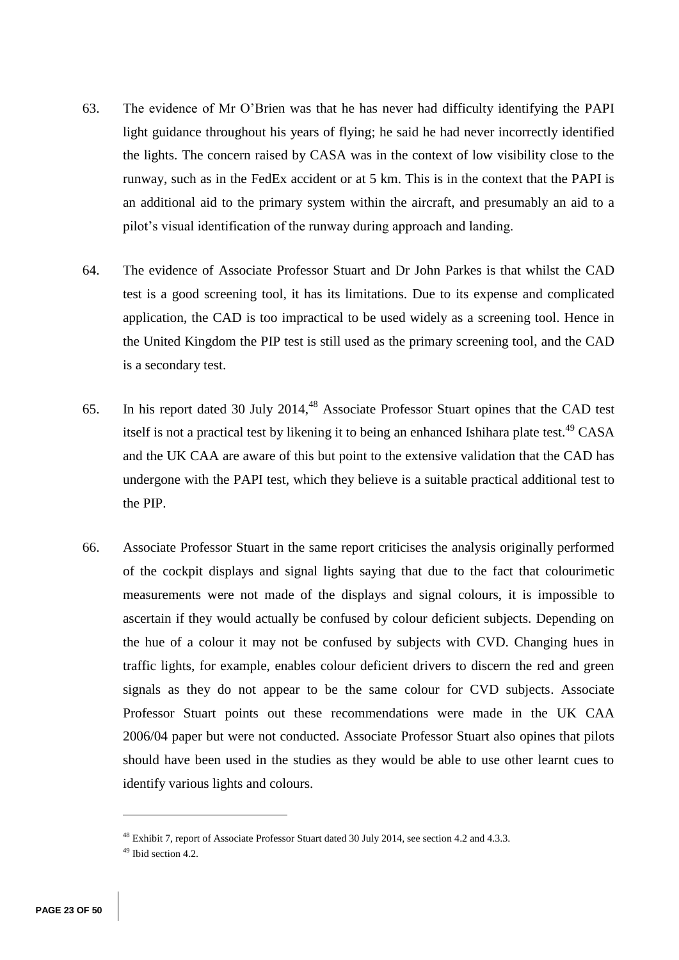- 63. The evidence of Mr O'Brien was that he has never had difficulty identifying the PAPI light guidance throughout his years of flying; he said he had never incorrectly identified the lights. The concern raised by CASA was in the context of low visibility close to the runway, such as in the FedEx accident or at 5 km. This is in the context that the PAPI is an additional aid to the primary system within the aircraft, and presumably an aid to a pilot's visual identification of the runway during approach and landing.
- 64. The evidence of Associate Professor Stuart and Dr John Parkes is that whilst the CAD test is a good screening tool, it has its limitations. Due to its expense and complicated application, the CAD is too impractical to be used widely as a screening tool. Hence in the United Kingdom the PIP test is still used as the primary screening tool, and the CAD is a secondary test.
- 65. In his report dated 30 July 2014,<sup>48</sup> Associate Professor Stuart opines that the CAD test itself is not a practical test by likening it to being an enhanced Ishihara plate test.<sup>49</sup> CASA and the UK CAA are aware of this but point to the extensive validation that the CAD has undergone with the PAPI test, which they believe is a suitable practical additional test to the PIP.
- 66. Associate Professor Stuart in the same report criticises the analysis originally performed of the cockpit displays and signal lights saying that due to the fact that colourimetic measurements were not made of the displays and signal colours, it is impossible to ascertain if they would actually be confused by colour deficient subjects. Depending on the hue of a colour it may not be confused by subjects with CVD. Changing hues in traffic lights, for example, enables colour deficient drivers to discern the red and green signals as they do not appear to be the same colour for CVD subjects. Associate Professor Stuart points out these recommendations were made in the UK CAA 2006/04 paper but were not conducted. Associate Professor Stuart also opines that pilots should have been used in the studies as they would be able to use other learnt cues to identify various lights and colours.

<sup>48</sup> Exhibit 7, report of Associate Professor Stuart dated 30 July 2014, see section 4.2 and 4.3.3.

<sup>49</sup> Ibid section 4.2.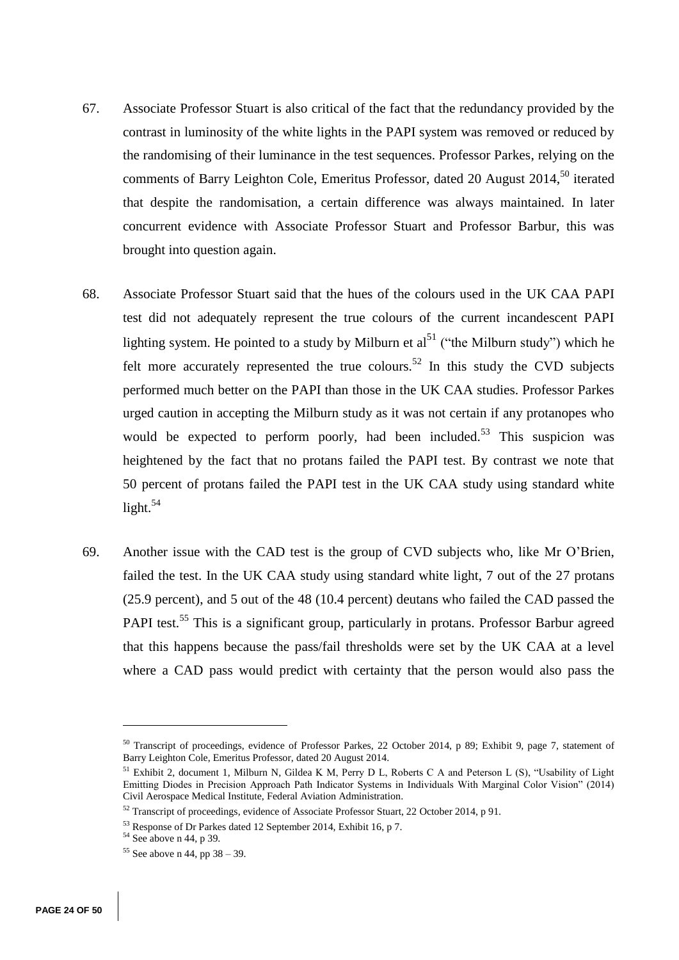- 67. Associate Professor Stuart is also critical of the fact that the redundancy provided by the contrast in luminosity of the white lights in the PAPI system was removed or reduced by the randomising of their luminance in the test sequences. Professor Parkes, relying on the comments of Barry Leighton Cole, Emeritus Professor, dated 20 August 2014,<sup>50</sup> iterated that despite the randomisation, a certain difference was always maintained. In later concurrent evidence with Associate Professor Stuart and Professor Barbur, this was brought into question again.
- 68. Associate Professor Stuart said that the hues of the colours used in the UK CAA PAPI test did not adequately represent the true colours of the current incandescent PAPI lighting system. He pointed to a study by Milburn et al<sup>51</sup> ("the Milburn study") which he felt more accurately represented the true colours.<sup>52</sup> In this study the CVD subjects performed much better on the PAPI than those in the UK CAA studies. Professor Parkes urged caution in accepting the Milburn study as it was not certain if any protanopes who would be expected to perform poorly, had been included.<sup>53</sup> This suspicion was heightened by the fact that no protans failed the PAPI test. By contrast we note that 50 percent of protans failed the PAPI test in the UK CAA study using standard white light. $54$
- 69. Another issue with the CAD test is the group of CVD subjects who, like Mr O'Brien, failed the test. In the UK CAA study using standard white light, 7 out of the 27 protans (25.9 percent), and 5 out of the 48 (10.4 percent) deutans who failed the CAD passed the PAPI test.<sup>55</sup> This is a significant group, particularly in protans. Professor Barbur agreed that this happens because the pass/fail thresholds were set by the UK CAA at a level where a CAD pass would predict with certainty that the person would also pass the

<sup>&</sup>lt;sup>50</sup> Transcript of proceedings, evidence of Professor Parkes, 22 October 2014, p 89; Exhibit 9, page 7, statement of Barry Leighton Cole, Emeritus Professor, dated 20 August 2014.

<sup>51</sup> Exhibit 2, document 1, Milburn N, Gildea K M, Perry D L, Roberts C A and Peterson L (S), "Usability of Light Emitting Diodes in Precision Approach Path Indicator Systems in Individuals With Marginal Color Vision" (2014) Civil Aerospace Medical Institute, Federal Aviation Administration.

<sup>52</sup> Transcript of proceedings, evidence of Associate Professor Stuart, 22 October 2014, p 91.

<sup>53</sup> Response of Dr Parkes dated 12 September 2014, Exhibit 16, p 7.

<sup>54</sup> See above n 44, p 39.

 $55$  See above n 44, pp 38 – 39.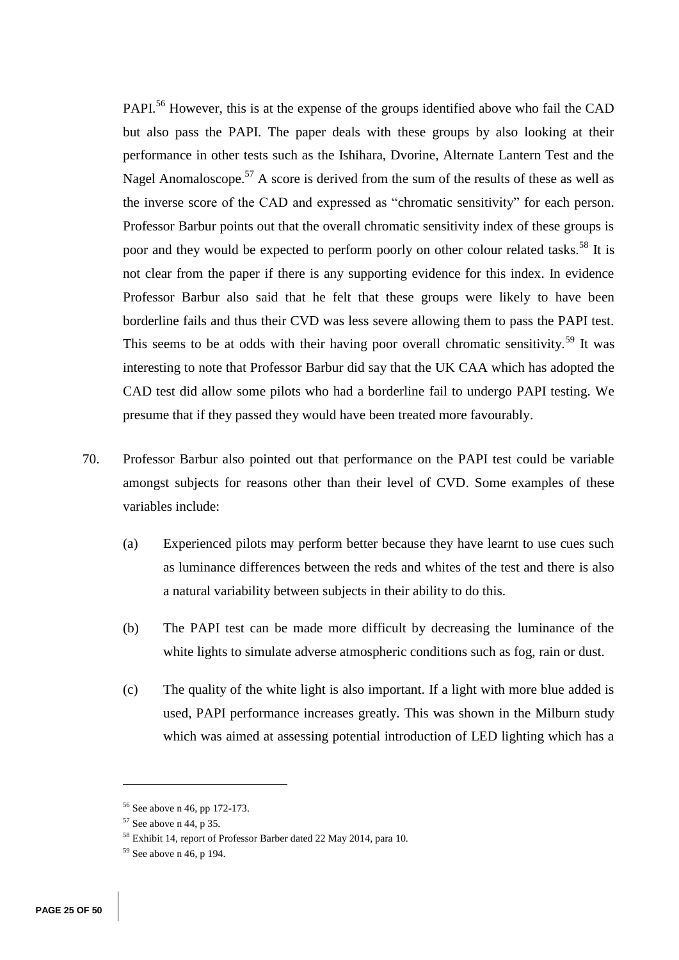PAPI.<sup>56</sup> However, this is at the expense of the groups identified above who fail the CAD but also pass the PAPI. The paper deals with these groups by also looking at their performance in other tests such as the Ishihara, Dvorine, Alternate Lantern Test and the Nagel Anomaloscope.<sup>57</sup> A score is derived from the sum of the results of these as well as the inverse score of the CAD and expressed as "chromatic sensitivity" for each person. Professor Barbur points out that the overall chromatic sensitivity index of these groups is poor and they would be expected to perform poorly on other colour related tasks.<sup>58</sup> It is not clear from the paper if there is any supporting evidence for this index. In evidence Professor Barbur also said that he felt that these groups were likely to have been borderline fails and thus their CVD was less severe allowing them to pass the PAPI test. This seems to be at odds with their having poor overall chromatic sensitivity.<sup>59</sup> It was interesting to note that Professor Barbur did say that the UK CAA which has adopted the CAD test did allow some pilots who had a borderline fail to undergo PAPI testing. We presume that if they passed they would have been treated more favourably.

- 70. Professor Barbur also pointed out that performance on the PAPI test could be variable amongst subjects for reasons other than their level of CVD. Some examples of these variables include:
	- (a) Experienced pilots may perform better because they have learnt to use cues such as luminance differences between the reds and whites of the test and there is also a natural variability between subjects in their ability to do this.
	- (b) The PAPI test can be made more difficult by decreasing the luminance of the white lights to simulate adverse atmospheric conditions such as fog, rain or dust.
	- (c) The quality of the white light is also important. If a light with more blue added is used, PAPI performance increases greatly. This was shown in the Milburn study which was aimed at assessing potential introduction of LED lighting which has a

<sup>56</sup> See above n 46, pp 172-173.

 $57$  See above n 44, p 35.

<sup>58</sup> Exhibit 14, report of Professor Barber dated 22 May 2014, para 10.

 $59$  See above n 46, p 194.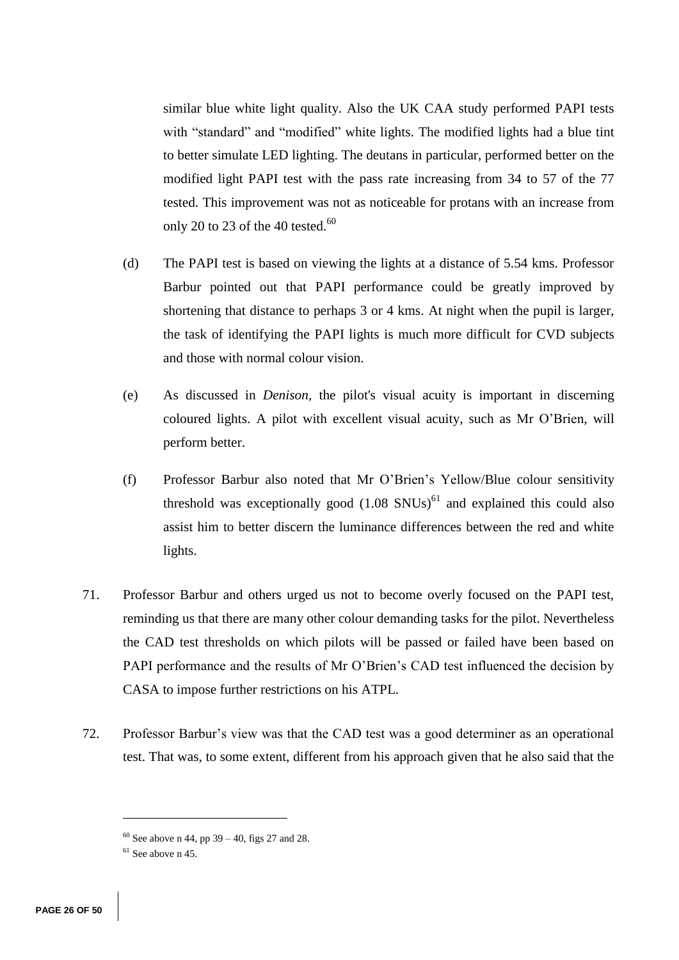similar blue white light quality. Also the UK CAA study performed PAPI tests with "standard" and "modified" white lights. The modified lights had a blue tint to better simulate LED lighting. The deutans in particular, performed better on the modified light PAPI test with the pass rate increasing from 34 to 57 of the 77 tested. This improvement was not as noticeable for protans with an increase from only 20 to 23 of the 40 tested. $60$ 

- (d) The PAPI test is based on viewing the lights at a distance of 5.54 kms. Professor Barbur pointed out that PAPI performance could be greatly improved by shortening that distance to perhaps 3 or 4 kms. At night when the pupil is larger, the task of identifying the PAPI lights is much more difficult for CVD subjects and those with normal colour vision.
- (e) As discussed in *Denison,* the pilot's visual acuity is important in discerning coloured lights. A pilot with excellent visual acuity, such as Mr O'Brien, will perform better.
- (f) Professor Barbur also noted that Mr O'Brien's Yellow/Blue colour sensitivity threshold was exceptionally good  $(1.08 \text{ SNUs})^{61}$  and explained this could also assist him to better discern the luminance differences between the red and white lights.
- 71. Professor Barbur and others urged us not to become overly focused on the PAPI test, reminding us that there are many other colour demanding tasks for the pilot. Nevertheless the CAD test thresholds on which pilots will be passed or failed have been based on PAPI performance and the results of Mr O'Brien's CAD test influenced the decision by CASA to impose further restrictions on his ATPL.
- 72. Professor Barbur's view was that the CAD test was a good determiner as an operational test. That was, to some extent, different from his approach given that he also said that the

 $60$  See above n 44, pp 39 – 40, figs 27 and 28.

 $61$  See above n 45.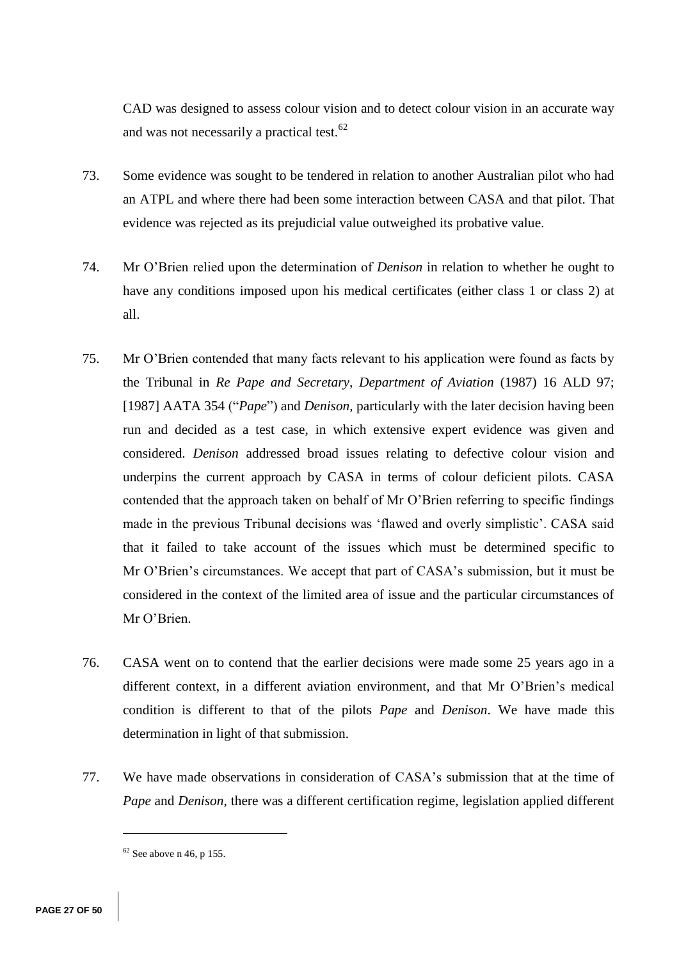CAD was designed to assess colour vision and to detect colour vision in an accurate way and was not necessarily a practical test.<sup>62</sup>

- 73. Some evidence was sought to be tendered in relation to another Australian pilot who had an ATPL and where there had been some interaction between CASA and that pilot. That evidence was rejected as its prejudicial value outweighed its probative value.
- 74. Mr O'Brien relied upon the determination of *Denison* in relation to whether he ought to have any conditions imposed upon his medical certificates (either class 1 or class 2) at all.
- 75. Mr O'Brien contended that many facts relevant to his application were found as facts by the Tribunal in *Re Pape and Secretary, Department of Aviation* (1987) 16 ALD 97; [1987] AATA 354 ("*Pape*") and *Denison,* particularly with the later decision having been run and decided as a test case, in which extensive expert evidence was given and considered. *Denison* addressed broad issues relating to defective colour vision and underpins the current approach by CASA in terms of colour deficient pilots. CASA contended that the approach taken on behalf of Mr O'Brien referring to specific findings made in the previous Tribunal decisions was 'flawed and overly simplistic'. CASA said that it failed to take account of the issues which must be determined specific to Mr O'Brien's circumstances. We accept that part of CASA's submission, but it must be considered in the context of the limited area of issue and the particular circumstances of Mr O'Brien.
- 76. CASA went on to contend that the earlier decisions were made some 25 years ago in a different context, in a different aviation environment, and that Mr O'Brien's medical condition is different to that of the pilots *Pape* and *Denison*. We have made this determination in light of that submission.
- 77. We have made observations in consideration of CASA's submission that at the time of *Pape* and *Denison*, there was a different certification regime, legislation applied different

 $62$  See above n 46, p 155.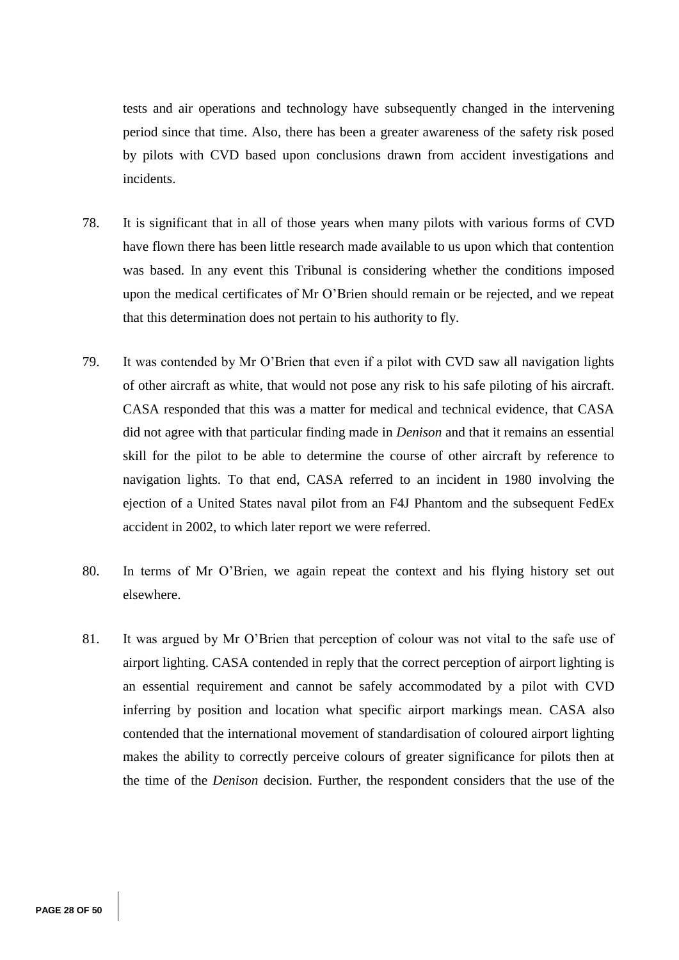tests and air operations and technology have subsequently changed in the intervening period since that time. Also, there has been a greater awareness of the safety risk posed by pilots with CVD based upon conclusions drawn from accident investigations and incidents.

- 78. It is significant that in all of those years when many pilots with various forms of CVD have flown there has been little research made available to us upon which that contention was based. In any event this Tribunal is considering whether the conditions imposed upon the medical certificates of Mr O'Brien should remain or be rejected, and we repeat that this determination does not pertain to his authority to fly.
- 79. It was contended by Mr O'Brien that even if a pilot with CVD saw all navigation lights of other aircraft as white, that would not pose any risk to his safe piloting of his aircraft. CASA responded that this was a matter for medical and technical evidence, that CASA did not agree with that particular finding made in *Denison* and that it remains an essential skill for the pilot to be able to determine the course of other aircraft by reference to navigation lights. To that end, CASA referred to an incident in 1980 involving the ejection of a United States naval pilot from an F4J Phantom and the subsequent FedEx accident in 2002, to which later report we were referred.
- 80. In terms of Mr O'Brien, we again repeat the context and his flying history set out elsewhere.
- 81. It was argued by Mr O'Brien that perception of colour was not vital to the safe use of airport lighting. CASA contended in reply that the correct perception of airport lighting is an essential requirement and cannot be safely accommodated by a pilot with CVD inferring by position and location what specific airport markings mean. CASA also contended that the international movement of standardisation of coloured airport lighting makes the ability to correctly perceive colours of greater significance for pilots then at the time of the *Denison* decision. Further, the respondent considers that the use of the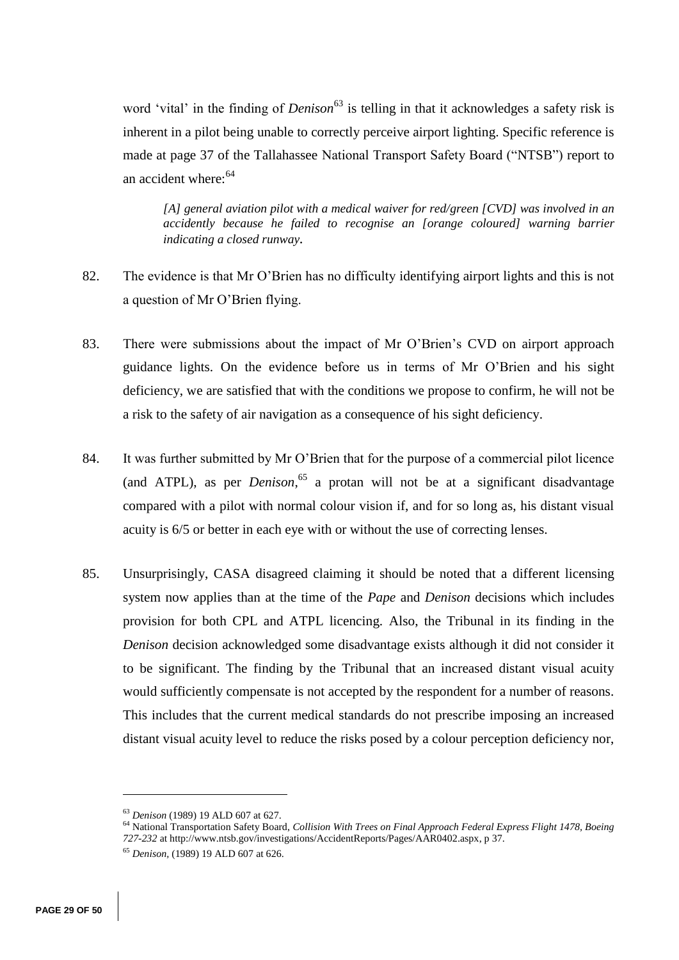word 'vital' in the finding of *Denison*<sup>63</sup> is telling in that it acknowledges a safety risk is inherent in a pilot being unable to correctly perceive airport lighting. Specific reference is made at page 37 of the Tallahassee National Transport Safety Board ("NTSB") report to an accident where:<sup>64</sup>

*[A] general aviation pilot with a medical waiver for red/green [CVD] was involved in an accidently because he failed to recognise an [orange coloured] warning barrier indicating a closed runway.* 

- 82. The evidence is that Mr O'Brien has no difficulty identifying airport lights and this is not a question of Mr O'Brien flying.
- 83. There were submissions about the impact of Mr O'Brien's CVD on airport approach guidance lights. On the evidence before us in terms of Mr O'Brien and his sight deficiency, we are satisfied that with the conditions we propose to confirm, he will not be a risk to the safety of air navigation as a consequence of his sight deficiency.
- 84. It was further submitted by Mr O'Brien that for the purpose of a commercial pilot licence (and ATPL), as per *Denison*, <sup>65</sup> a protan will not be at a significant disadvantage compared with a pilot with normal colour vision if, and for so long as, his distant visual acuity is 6/5 or better in each eye with or without the use of correcting lenses.
- 85. Unsurprisingly, CASA disagreed claiming it should be noted that a different licensing system now applies than at the time of the *Pape* and *Denison* decisions which includes provision for both CPL and ATPL licencing. Also, the Tribunal in its finding in the *Denison* decision acknowledged some disadvantage exists although it did not consider it to be significant. The finding by the Tribunal that an increased distant visual acuity would sufficiently compensate is not accepted by the respondent for a number of reasons. This includes that the current medical standards do not prescribe imposing an increased distant visual acuity level to reduce the risks posed by a colour perception deficiency nor,

<sup>63</sup> *Denison* (1989) 19 ALD 607 at 627.

<sup>64</sup> National Transportation Safety Board, *Collision With Trees on Final Approach Federal Express Flight 1478, Boeing 727-232* at http://www.ntsb.gov/investigations/AccidentReports/Pages/AAR0402.aspx, p 37.

<sup>65</sup> *Denison,* (1989) 19 ALD 607 at 626.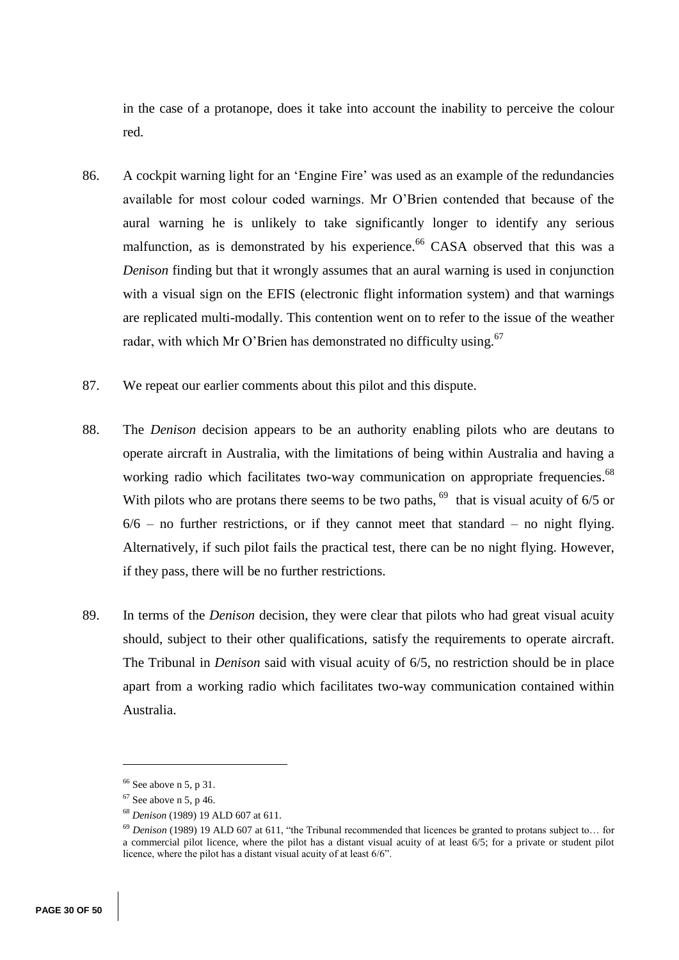in the case of a protanope, does it take into account the inability to perceive the colour red.

- 86. A cockpit warning light for an 'Engine Fire' was used as an example of the redundancies available for most colour coded warnings. Mr O'Brien contended that because of the aural warning he is unlikely to take significantly longer to identify any serious malfunction, as is demonstrated by his experience.<sup>66</sup> CASA observed that this was a *Denison* finding but that it wrongly assumes that an aural warning is used in conjunction with a visual sign on the EFIS (electronic flight information system) and that warnings are replicated multi-modally. This contention went on to refer to the issue of the weather radar, with which Mr O'Brien has demonstrated no difficulty using.<sup>67</sup>
- 87. We repeat our earlier comments about this pilot and this dispute.
- 88. The *Denison* decision appears to be an authority enabling pilots who are deutans to operate aircraft in Australia, with the limitations of being within Australia and having a working radio which facilitates two-way communication on appropriate frequencies.<sup>68</sup> With pilots who are protans there seems to be two paths,  $^{69}$  that is visual acuity of 6/5 or  $6/6$  – no further restrictions, or if they cannot meet that standard – no night flying. Alternatively, if such pilot fails the practical test, there can be no night flying. However, if they pass, there will be no further restrictions.
- 89. In terms of the *Denison* decision, they were clear that pilots who had great visual acuity should, subject to their other qualifications, satisfy the requirements to operate aircraft. The Tribunal in *Denison* said with visual acuity of 6/5, no restriction should be in place apart from a working radio which facilitates two-way communication contained within Australia.

 $66$  See above n 5, p 31.

 $67$  See above n 5, p 46.

<sup>68</sup> *Denison* (1989) 19 ALD 607 at 611.

<sup>69</sup> *Denison* (1989) 19 ALD 607 at 611, "the Tribunal recommended that licences be granted to protans subject to… for a commercial pilot licence, where the pilot has a distant visual acuity of at least 6/5; for a private or student pilot licence, where the pilot has a distant visual acuity of at least 6/6".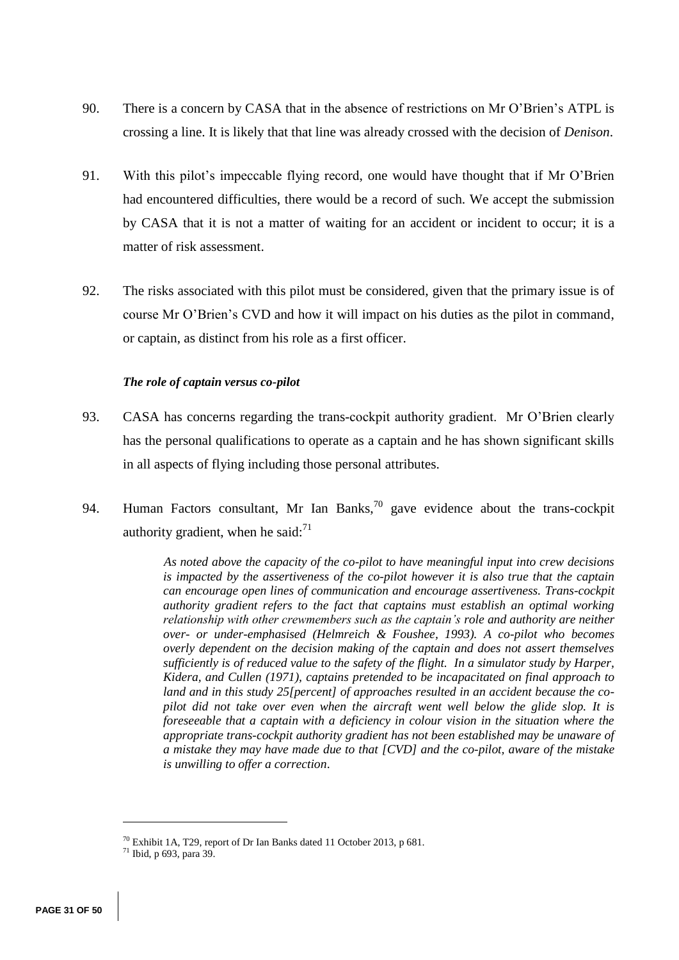- 90. There is a concern by CASA that in the absence of restrictions on Mr O'Brien's ATPL is crossing a line. It is likely that that line was already crossed with the decision of *Denison*.
- 91. With this pilot's impeccable flying record, one would have thought that if Mr O'Brien had encountered difficulties, there would be a record of such. We accept the submission by CASA that it is not a matter of waiting for an accident or incident to occur; it is a matter of risk assessment.
- 92. The risks associated with this pilot must be considered, given that the primary issue is of course Mr O'Brien's CVD and how it will impact on his duties as the pilot in command, or captain, as distinct from his role as a first officer.

## *The role of captain versus co-pilot*

- 93. CASA has concerns regarding the trans-cockpit authority gradient. Mr O'Brien clearly has the personal qualifications to operate as a captain and he has shown significant skills in all aspects of flying including those personal attributes.
- 94. Human Factors consultant, Mr Ian Banks,<sup>70</sup> gave evidence about the trans-cockpit authority gradient, when he said: $<sup>71</sup>$ </sup>

*As noted above the capacity of the co-pilot to have meaningful input into crew decisions is impacted by the assertiveness of the co-pilot however it is also true that the captain can encourage open lines of communication and encourage assertiveness. Trans-cockpit authority gradient refers to the fact that captains must establish an optimal working relationship with other crewmembers such as the captain's role and authority are neither over- or under-emphasised (Helmreich & Foushee, 1993). A co-pilot who becomes overly dependent on the decision making of the captain and does not assert themselves sufficiently is of reduced value to the safety of the flight. In a simulator study by Harper, Kidera, and Cullen (1971), captains pretended to be incapacitated on final approach to land and in this study 25[percent] of approaches resulted in an accident because the copilot did not take over even when the aircraft went well below the glide slop. It is foreseeable that a captain with a deficiency in colour vision in the situation where the appropriate trans-cockpit authority gradient has not been established may be unaware of a mistake they may have made due to that [CVD] and the co-pilot, aware of the mistake is unwilling to offer a correction*.

<sup>70</sup> Exhibit 1A, T29, report of Dr Ian Banks dated 11 October 2013, p 681.

<sup>71</sup> Ibid, p 693, para 39.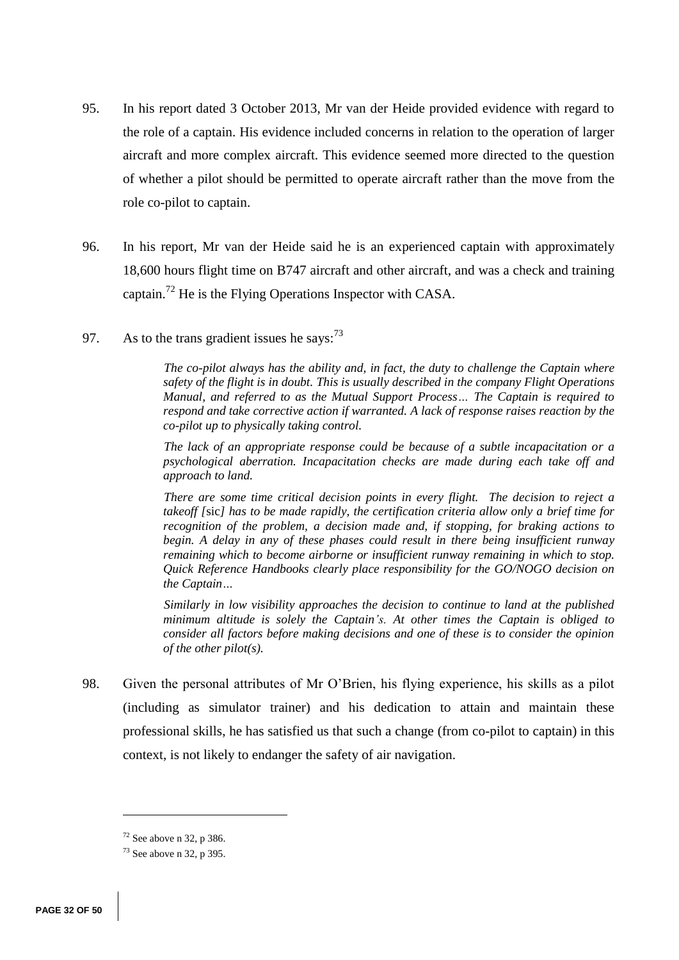- 95. In his report dated 3 October 2013, Mr van der Heide provided evidence with regard to the role of a captain. His evidence included concerns in relation to the operation of larger aircraft and more complex aircraft. This evidence seemed more directed to the question of whether a pilot should be permitted to operate aircraft rather than the move from the role co-pilot to captain.
- 96. In his report, Mr van der Heide said he is an experienced captain with approximately 18,600 hours flight time on B747 aircraft and other aircraft, and was a check and training captain.<sup>72</sup> He is the Flying Operations Inspector with CASA.
- 97. As to the trans gradient issues he says:  $7<sup>3</sup>$

*The co-pilot always has the ability and, in fact, the duty to challenge the Captain where safety of the flight is in doubt. This is usually described in the company Flight Operations Manual, and referred to as the Mutual Support Process… The Captain is required to respond and take corrective action if warranted. A lack of response raises reaction by the co-pilot up to physically taking control.*

*The lack of an appropriate response could be because of a subtle incapacitation or a psychological aberration. Incapacitation checks are made during each take off and approach to land.*

*There are some time critical decision points in every flight. The decision to reject a takeoff [*sic*] has to be made rapidly, the certification criteria allow only a brief time for recognition of the problem, a decision made and, if stopping, for braking actions to begin. A delay in any of these phases could result in there being insufficient runway remaining which to become airborne or insufficient runway remaining in which to stop. Quick Reference Handbooks clearly place responsibility for the GO/NOGO decision on the Captain…*

*Similarly in low visibility approaches the decision to continue to land at the published minimum altitude is solely the Captain's. At other times the Captain is obliged to consider all factors before making decisions and one of these is to consider the opinion of the other pilot(s).*

98. Given the personal attributes of Mr O'Brien, his flying experience, his skills as a pilot (including as simulator trainer) and his dedication to attain and maintain these professional skills, he has satisfied us that such a change (from co-pilot to captain) in this context, is not likely to endanger the safety of air navigation.

 $72$  See above n 32, p 386.

 $73$  See above n 32, p 395.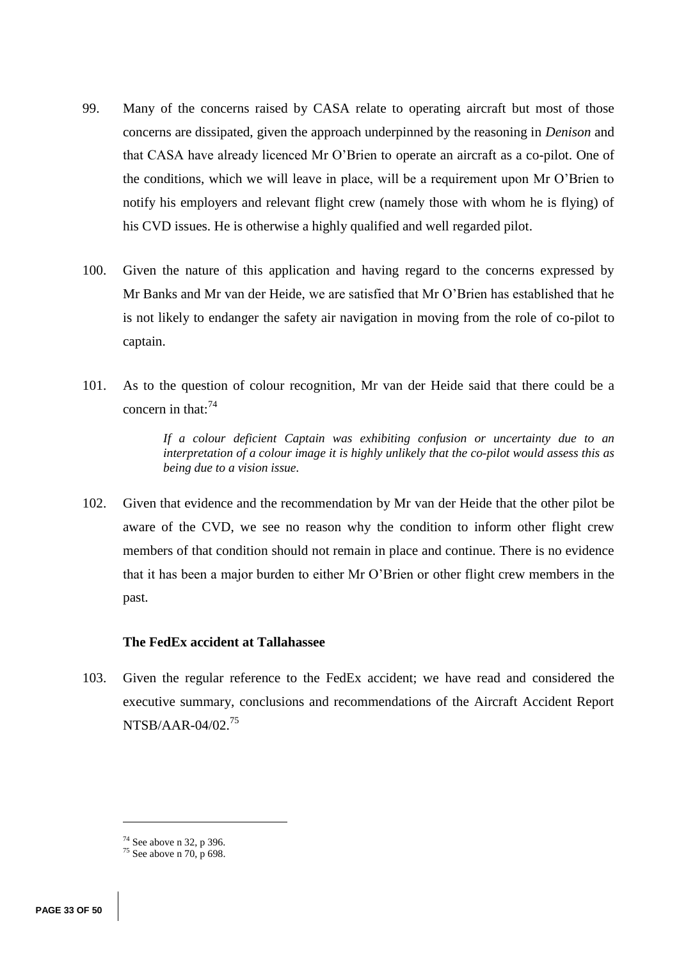- 99. Many of the concerns raised by CASA relate to operating aircraft but most of those concerns are dissipated, given the approach underpinned by the reasoning in *Denison* and that CASA have already licenced Mr O'Brien to operate an aircraft as a co-pilot. One of the conditions, which we will leave in place, will be a requirement upon Mr O'Brien to notify his employers and relevant flight crew (namely those with whom he is flying) of his CVD issues. He is otherwise a highly qualified and well regarded pilot.
- 100. Given the nature of this application and having regard to the concerns expressed by Mr Banks and Mr van der Heide, we are satisfied that Mr O'Brien has established that he is not likely to endanger the safety air navigation in moving from the role of co-pilot to captain.
- 101. As to the question of colour recognition, Mr van der Heide said that there could be a concern in that: $74$

*If a colour deficient Captain was exhibiting confusion or uncertainty due to an interpretation of a colour image it is highly unlikely that the co-pilot would assess this as being due to a vision issue.*

102. Given that evidence and the recommendation by Mr van der Heide that the other pilot be aware of the CVD, we see no reason why the condition to inform other flight crew members of that condition should not remain in place and continue. There is no evidence that it has been a major burden to either Mr O'Brien or other flight crew members in the past.

# **The FedEx accident at Tallahassee**

103. Given the regular reference to the FedEx accident; we have read and considered the executive summary, conclusions and recommendations of the Aircraft Accident Report NTSB/AAR-04/02.<sup>75</sup>

<sup>74</sup> See above n 32, p 396.

 $75$  See above n 70, p 698.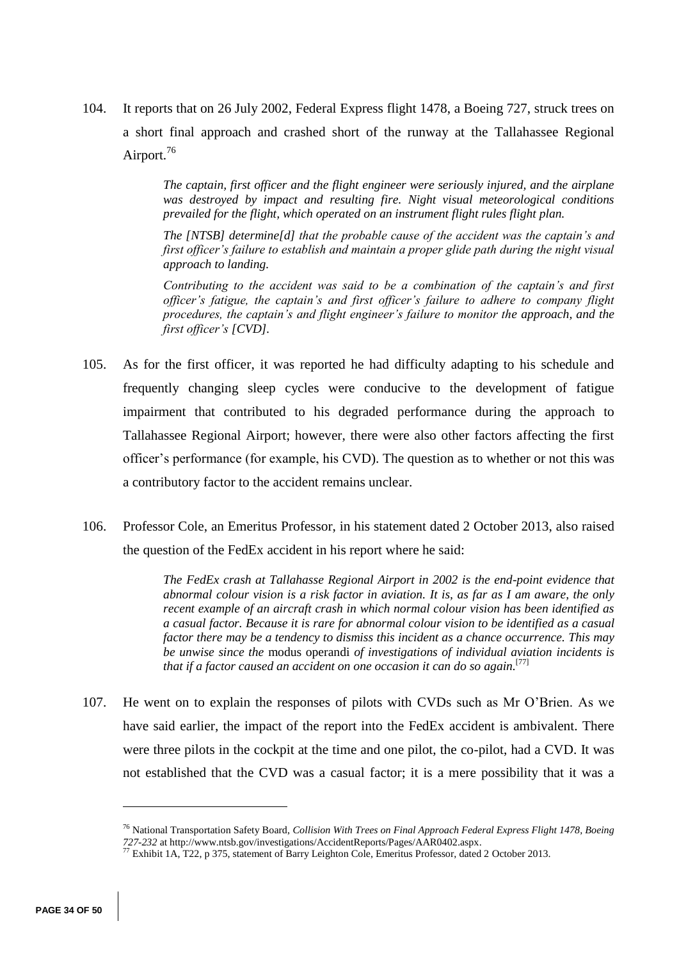104. It reports that on 26 July 2002, Federal Express flight 1478, a Boeing 727, struck trees on a short final approach and crashed short of the runway at the Tallahassee Regional Airport.<sup>76</sup>

> *The captain, first officer and the flight engineer were seriously injured, and the airplane was destroyed by impact and resulting fire. Night visual meteorological conditions prevailed for the flight, which operated on an instrument flight rules flight plan.*

> *The [NTSB] determine[d] that the probable cause of the accident was the captain's and first officer's failure to establish and maintain a proper glide path during the night visual approach to landing.*

> *Contributing to the accident was said to be a combination of the captain's and first officer's fatigue, the captain's and first officer's failure to adhere to company flight procedures, the captain's and flight engineer's failure to monitor the approach, and the first officer's [CVD].*

- 105. As for the first officer, it was reported he had difficulty adapting to his schedule and frequently changing sleep cycles were conducive to the development of fatigue impairment that contributed to his degraded performance during the approach to Tallahassee Regional Airport; however, there were also other factors affecting the first officer's performance (for example, his CVD). The question as to whether or not this was a contributory factor to the accident remains unclear.
- 106. Professor Cole, an Emeritus Professor, in his statement dated 2 October 2013, also raised the question of the FedEx accident in his report where he said:

*The FedEx crash at Tallahasse Regional Airport in 2002 is the end-point evidence that abnormal colour vision is a risk factor in aviation. It is, as far as I am aware, the only recent example of an aircraft crash in which normal colour vision has been identified as a casual factor. Because it is rare for abnormal colour vision to be identified as a casual factor there may be a tendency to dismiss this incident as a chance occurrence. This may be unwise since the* modus operandi *of investigations of individual aviation incidents is that if a factor caused an accident on one occasion it can do so again.*[77]

107. He went on to explain the responses of pilots with CVDs such as Mr O'Brien. As we have said earlier, the impact of the report into the FedEx accident is ambivalent. There were three pilots in the cockpit at the time and one pilot, the co-pilot, had a CVD. It was not established that the CVD was a casual factor; it is a mere possibility that it was a

<sup>76</sup> National Transportation Safety Board, *Collision With Trees on Final Approach Federal Express Flight 1478, Boeing 727-232* at http://www.ntsb.gov/investigations/AccidentReports/Pages/AAR0402.aspx.

<sup>77</sup> Exhibit 1A, T22, p 375, statement of Barry Leighton Cole, Emeritus Professor, dated 2 October 2013.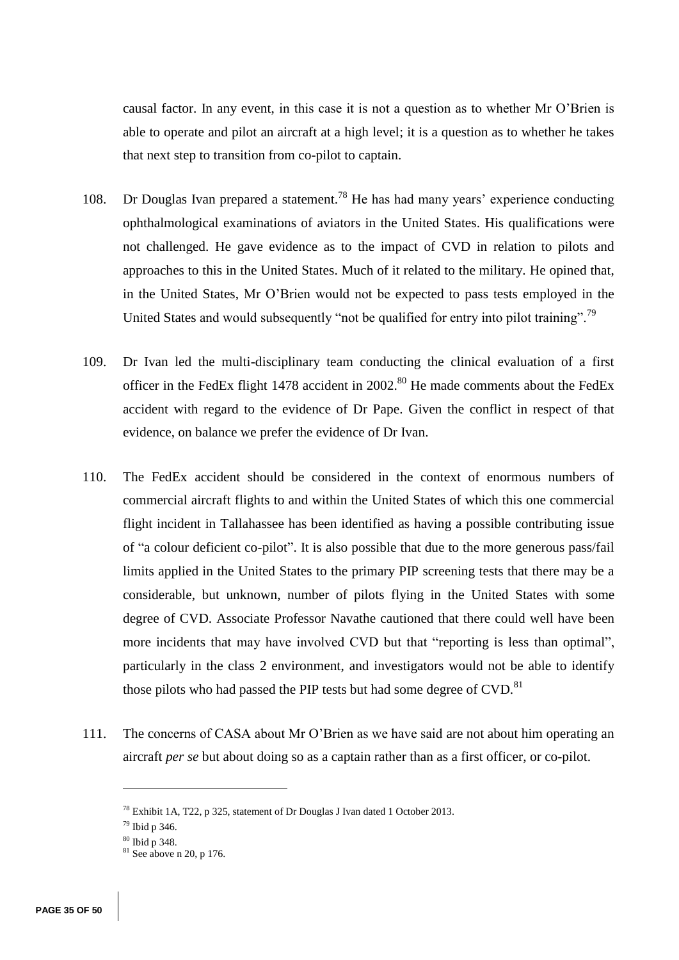causal factor. In any event, in this case it is not a question as to whether Mr O'Brien is able to operate and pilot an aircraft at a high level; it is a question as to whether he takes that next step to transition from co-pilot to captain.

- 108. Dr Douglas Ivan prepared a statement.<sup>78</sup> He has had many years' experience conducting ophthalmological examinations of aviators in the United States. His qualifications were not challenged. He gave evidence as to the impact of CVD in relation to pilots and approaches to this in the United States. Much of it related to the military. He opined that, in the United States, Mr O'Brien would not be expected to pass tests employed in the United States and would subsequently "not be qualified for entry into pilot training".<sup>79</sup>
- 109. Dr Ivan led the multi-disciplinary team conducting the clinical evaluation of a first officer in the FedEx flight 1478 accident in  $2002$ .<sup>80</sup> He made comments about the FedEx accident with regard to the evidence of Dr Pape. Given the conflict in respect of that evidence, on balance we prefer the evidence of Dr Ivan.
- 110. The FedEx accident should be considered in the context of enormous numbers of commercial aircraft flights to and within the United States of which this one commercial flight incident in Tallahassee has been identified as having a possible contributing issue of "a colour deficient co-pilot". It is also possible that due to the more generous pass/fail limits applied in the United States to the primary PIP screening tests that there may be a considerable, but unknown, number of pilots flying in the United States with some degree of CVD. Associate Professor Navathe cautioned that there could well have been more incidents that may have involved CVD but that "reporting is less than optimal", particularly in the class 2 environment, and investigators would not be able to identify those pilots who had passed the PIP tests but had some degree of CVD.<sup>81</sup>
- 111. The concerns of CASA about Mr O'Brien as we have said are not about him operating an aircraft *per se* but about doing so as a captain rather than as a first officer, or co-pilot.

<sup>78</sup> Exhibit 1A, T22, p 325, statement of Dr Douglas J Ivan dated 1 October 2013.

<sup>79</sup> Ibid p 346.

<sup>80</sup> Ibid p 348.

 $81$  See above n 20, p 176.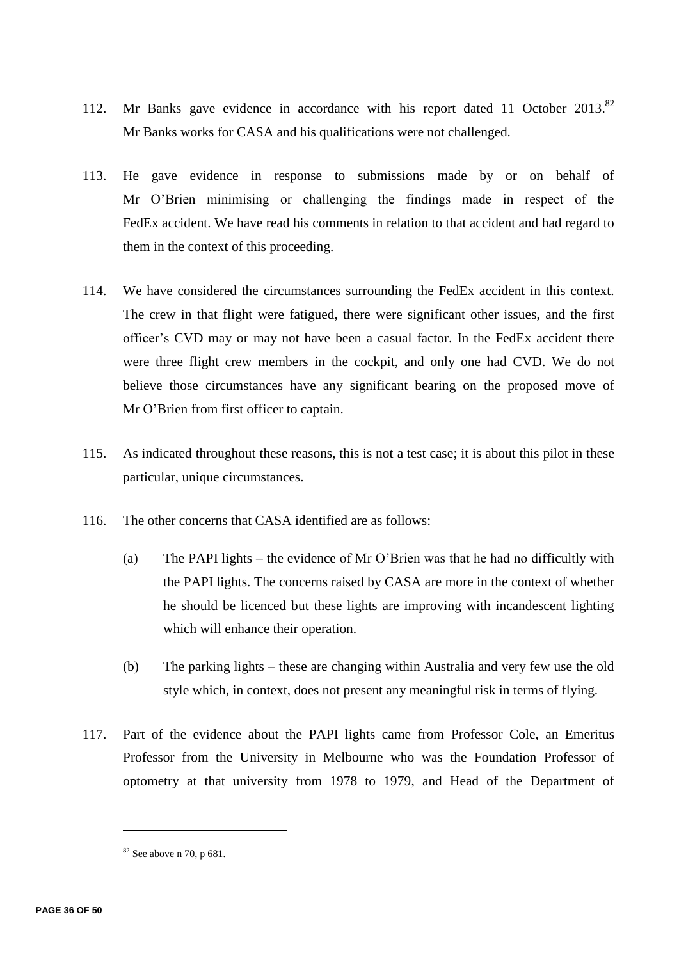- 112. Mr Banks gave evidence in accordance with his report dated 11 October 2013.<sup>82</sup> Mr Banks works for CASA and his qualifications were not challenged.
- 113. He gave evidence in response to submissions made by or on behalf of Mr O'Brien minimising or challenging the findings made in respect of the FedEx accident. We have read his comments in relation to that accident and had regard to them in the context of this proceeding.
- 114. We have considered the circumstances surrounding the FedEx accident in this context. The crew in that flight were fatigued, there were significant other issues, and the first officer's CVD may or may not have been a casual factor. In the FedEx accident there were three flight crew members in the cockpit, and only one had CVD. We do not believe those circumstances have any significant bearing on the proposed move of Mr O'Brien from first officer to captain.
- 115. As indicated throughout these reasons, this is not a test case; it is about this pilot in these particular, unique circumstances.
- 116. The other concerns that CASA identified are as follows:
	- (a) The PAPI lights the evidence of Mr O'Brien was that he had no difficultly with the PAPI lights. The concerns raised by CASA are more in the context of whether he should be licenced but these lights are improving with incandescent lighting which will enhance their operation.
	- (b) The parking lights these are changing within Australia and very few use the old style which, in context, does not present any meaningful risk in terms of flying.
- 117. Part of the evidence about the PAPI lights came from Professor Cole, an Emeritus Professor from the University in Melbourne who was the Foundation Professor of optometry at that university from 1978 to 1979, and Head of the Department of

<sup>82</sup> See above n 70, p 681.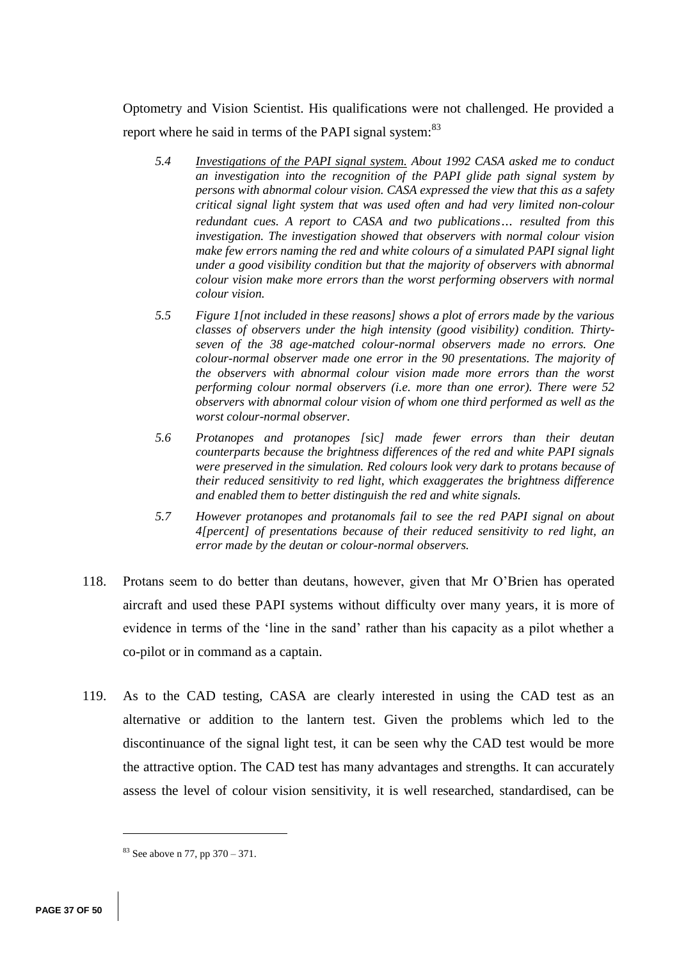Optometry and Vision Scientist. His qualifications were not challenged. He provided a report where he said in terms of the PAPI signal system:<sup>83</sup>

- *5.4 Investigations of the PAPI signal system. About 1992 CASA asked me to conduct an investigation into the recognition of the PAPI glide path signal system by persons with abnormal colour vision. CASA expressed the view that this as a safety critical signal light system that was used often and had very limited non-colour redundant cues. A report to CASA and two publications… resulted from this investigation. The investigation showed that observers with normal colour vision make few errors naming the red and white colours of a simulated PAPI signal light under a good visibility condition but that the majority of observers with abnormal colour vision make more errors than the worst performing observers with normal colour vision.*
- *5.5 Figure 1[not included in these reasons] shows a plot of errors made by the various classes of observers under the high intensity (good visibility) condition. Thirtyseven of the 38 age-matched colour-normal observers made no errors. One colour-normal observer made one error in the 90 presentations. The majority of the observers with abnormal colour vision made more errors than the worst performing colour normal observers (i.e. more than one error). There were 52 observers with abnormal colour vision of whom one third performed as well as the worst colour-normal observer.*
- *5.6 Protanopes and protanopes [*sic*] made fewer errors than their deutan counterparts because the brightness differences of the red and white PAPI signals were preserved in the simulation. Red colours look very dark to protans because of their reduced sensitivity to red light, which exaggerates the brightness difference and enabled them to better distinguish the red and white signals.*
- *5.7 However protanopes and protanomals fail to see the red PAPI signal on about 4[percent] of presentations because of their reduced sensitivity to red light, an error made by the deutan or colour-normal observers.*
- 118. Protans seem to do better than deutans, however, given that Mr O'Brien has operated aircraft and used these PAPI systems without difficulty over many years, it is more of evidence in terms of the 'line in the sand' rather than his capacity as a pilot whether a co-pilot or in command as a captain.
- 119. As to the CAD testing, CASA are clearly interested in using the CAD test as an alternative or addition to the lantern test. Given the problems which led to the discontinuance of the signal light test, it can be seen why the CAD test would be more the attractive option. The CAD test has many advantages and strengths. It can accurately assess the level of colour vision sensitivity, it is well researched, standardised, can be

<sup>83</sup> See above n 77, pp 370 – 371.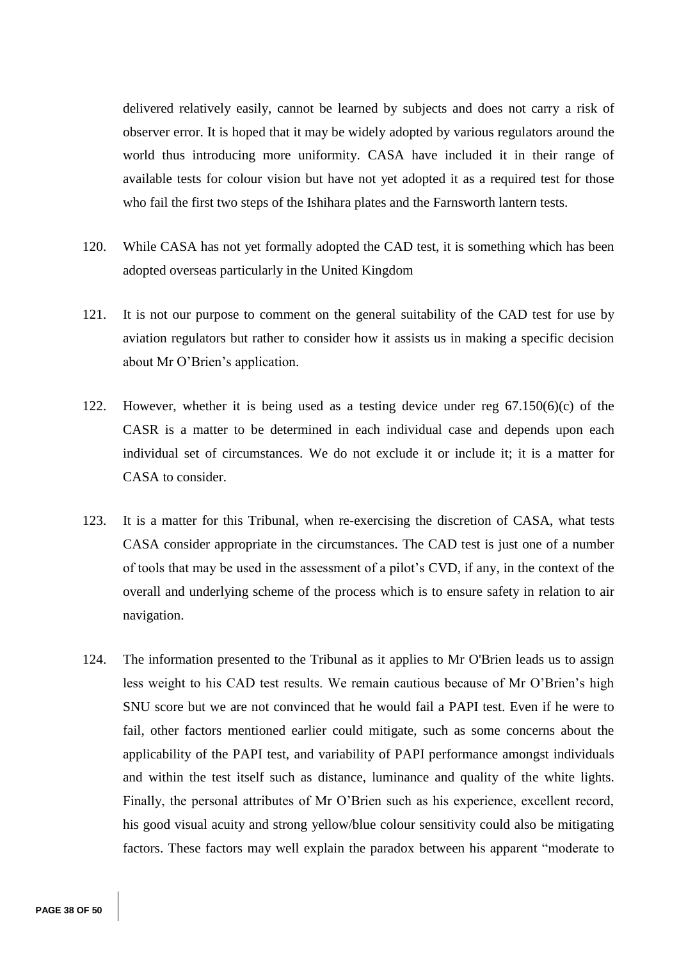delivered relatively easily, cannot be learned by subjects and does not carry a risk of observer error. It is hoped that it may be widely adopted by various regulators around the world thus introducing more uniformity. CASA have included it in their range of available tests for colour vision but have not yet adopted it as a required test for those who fail the first two steps of the Ishihara plates and the Farnsworth lantern tests.

- 120. While CASA has not yet formally adopted the CAD test, it is something which has been adopted overseas particularly in the United Kingdom
- 121. It is not our purpose to comment on the general suitability of the CAD test for use by aviation regulators but rather to consider how it assists us in making a specific decision about Mr O'Brien's application.
- 122. However, whether it is being used as a testing device under reg  $67.150(6)(c)$  of the CASR is a matter to be determined in each individual case and depends upon each individual set of circumstances. We do not exclude it or include it; it is a matter for CASA to consider.
- 123. It is a matter for this Tribunal, when re-exercising the discretion of CASA, what tests CASA consider appropriate in the circumstances. The CAD test is just one of a number of tools that may be used in the assessment of a pilot's CVD, if any, in the context of the overall and underlying scheme of the process which is to ensure safety in relation to air navigation.
- 124. The information presented to the Tribunal as it applies to Mr O'Brien leads us to assign less weight to his CAD test results. We remain cautious because of Mr O'Brien's high SNU score but we are not convinced that he would fail a PAPI test. Even if he were to fail, other factors mentioned earlier could mitigate, such as some concerns about the applicability of the PAPI test, and variability of PAPI performance amongst individuals and within the test itself such as distance, luminance and quality of the white lights. Finally, the personal attributes of Mr O'Brien such as his experience, excellent record, his good visual acuity and strong yellow/blue colour sensitivity could also be mitigating factors. These factors may well explain the paradox between his apparent "moderate to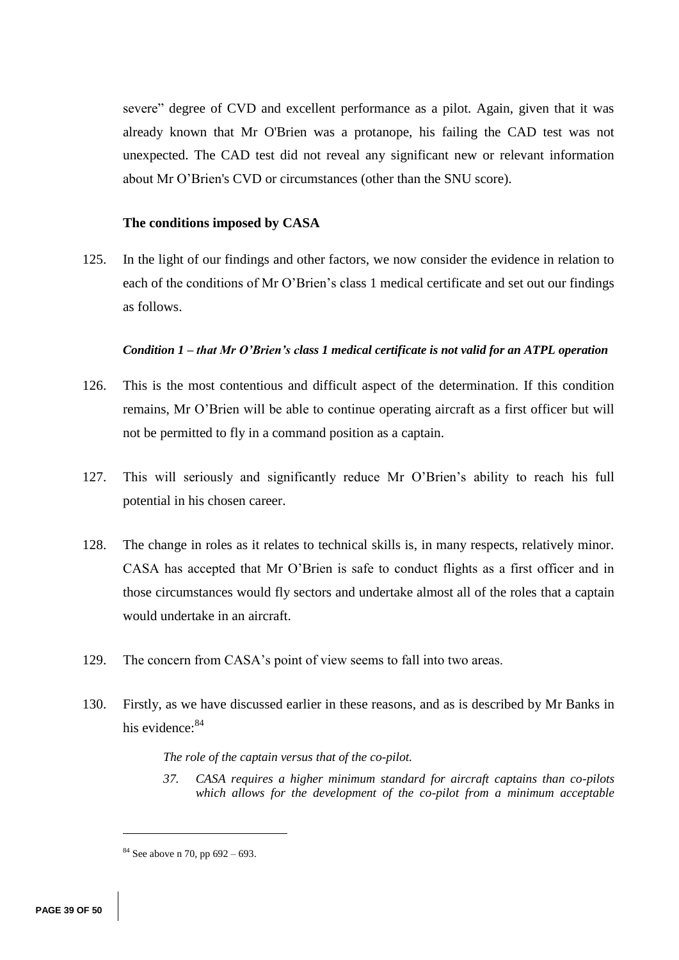severe" degree of CVD and excellent performance as a pilot. Again, given that it was already known that Mr O'Brien was a protanope, his failing the CAD test was not unexpected. The CAD test did not reveal any significant new or relevant information about Mr O'Brien's CVD or circumstances (other than the SNU score).

### **The conditions imposed by CASA**

125. In the light of our findings and other factors, we now consider the evidence in relation to each of the conditions of Mr O'Brien's class 1 medical certificate and set out our findings as follows.

## *Condition 1 – that Mr O'Brien's class 1 medical certificate is not valid for an ATPL operation*

- 126. This is the most contentious and difficult aspect of the determination. If this condition remains, Mr O'Brien will be able to continue operating aircraft as a first officer but will not be permitted to fly in a command position as a captain.
- 127. This will seriously and significantly reduce Mr O'Brien's ability to reach his full potential in his chosen career.
- 128. The change in roles as it relates to technical skills is, in many respects, relatively minor. CASA has accepted that Mr O'Brien is safe to conduct flights as a first officer and in those circumstances would fly sectors and undertake almost all of the roles that a captain would undertake in an aircraft.
- 129. The concern from CASA's point of view seems to fall into two areas.
- 130. Firstly, as we have discussed earlier in these reasons, and as is described by Mr Banks in his evidence: 84

### *The role of the captain versus that of the co-pilot.*

*37. CASA requires a higher minimum standard for aircraft captains than co-pilots which allows for the development of the co-pilot from a minimum acceptable* 

 $84$  See above n 70, pp 692 – 693.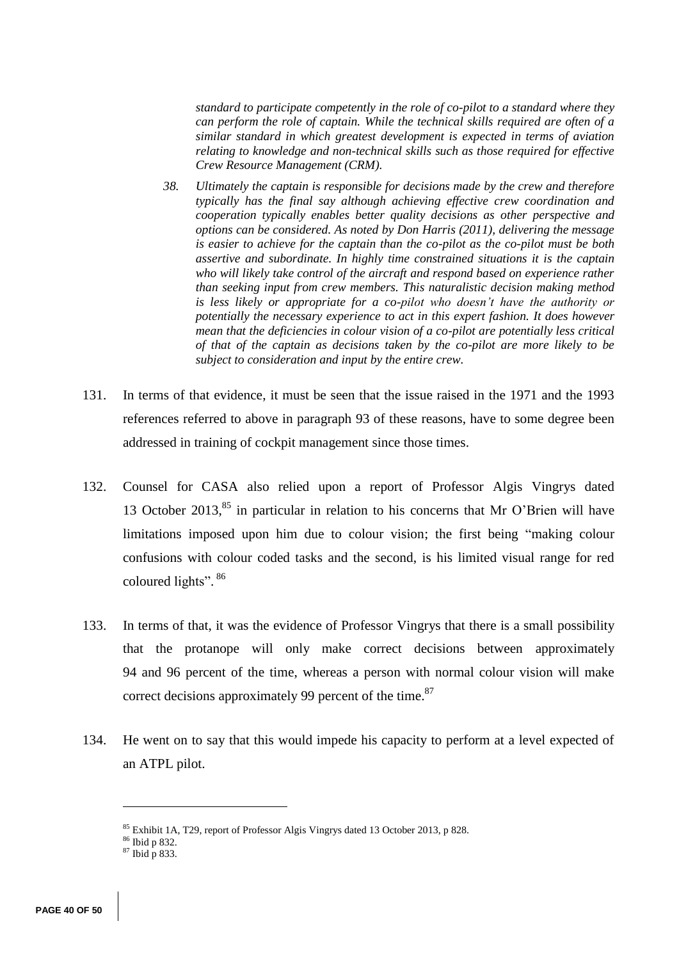*standard to participate competently in the role of co-pilot to a standard where they can perform the role of captain. While the technical skills required are often of a similar standard in which greatest development is expected in terms of aviation relating to knowledge and non-technical skills such as those required for effective Crew Resource Management (CRM).*

- *38. Ultimately the captain is responsible for decisions made by the crew and therefore typically has the final say although achieving effective crew coordination and cooperation typically enables better quality decisions as other perspective and options can be considered. As noted by Don Harris (2011), delivering the message is easier to achieve for the captain than the co-pilot as the co-pilot must be both assertive and subordinate. In highly time constrained situations it is the captain who will likely take control of the aircraft and respond based on experience rather than seeking input from crew members. This naturalistic decision making method is less likely or appropriate for a co-pilot who doesn't have the authority or potentially the necessary experience to act in this expert fashion. It does however mean that the deficiencies in colour vision of a co-pilot are potentially less critical of that of the captain as decisions taken by the co-pilot are more likely to be subject to consideration and input by the entire crew.*
- 131. In terms of that evidence, it must be seen that the issue raised in the 1971 and the 1993 references referred to above in paragraph 93 of these reasons, have to some degree been addressed in training of cockpit management since those times.
- 132. Counsel for CASA also relied upon a report of Professor Algis Vingrys dated 13 October 2013, $85$  in particular in relation to his concerns that Mr O'Brien will have limitations imposed upon him due to colour vision; the first being "making colour confusions with colour coded tasks and the second, is his limited visual range for red coloured lights". 86
- 133. In terms of that, it was the evidence of Professor Vingrys that there is a small possibility that the protanope will only make correct decisions between approximately 94 and 96 percent of the time, whereas a person with normal colour vision will make correct decisions approximately 99 percent of the time.<sup>87</sup>
- 134. He went on to say that this would impede his capacity to perform at a level expected of an ATPL pilot.

<sup>85</sup> Exhibit 1A, T29, report of Professor Algis Vingrys dated 13 October 2013, p 828.

<sup>86</sup> Ibid p 832.

<sup>87</sup> Ibid p 833.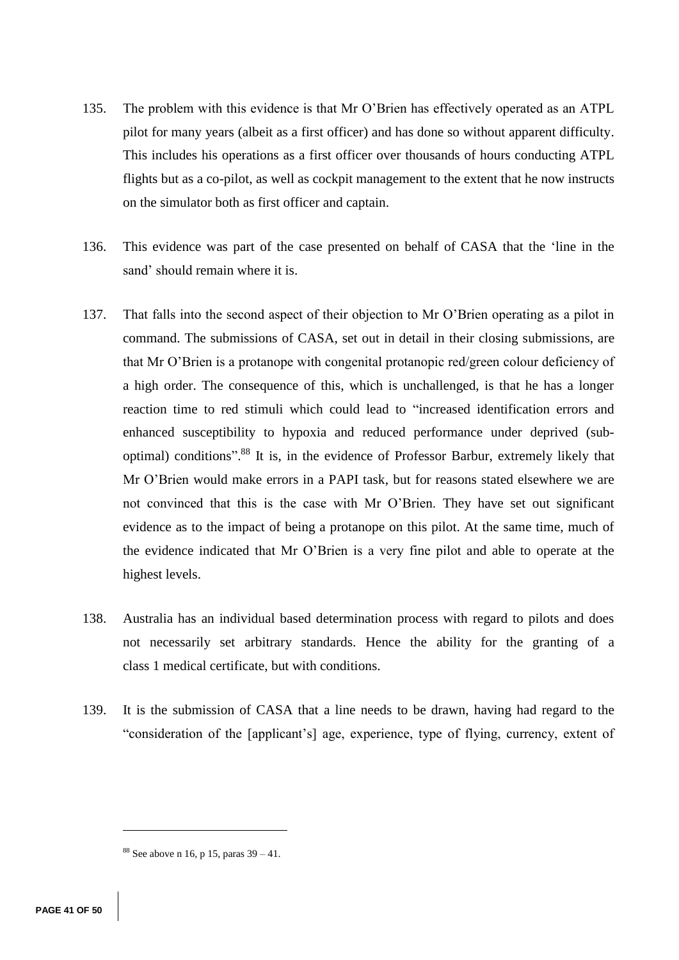- 135. The problem with this evidence is that Mr O'Brien has effectively operated as an ATPL pilot for many years (albeit as a first officer) and has done so without apparent difficulty. This includes his operations as a first officer over thousands of hours conducting ATPL flights but as a co-pilot, as well as cockpit management to the extent that he now instructs on the simulator both as first officer and captain.
- 136. This evidence was part of the case presented on behalf of CASA that the 'line in the sand' should remain where it is.
- 137. That falls into the second aspect of their objection to Mr O'Brien operating as a pilot in command. The submissions of CASA, set out in detail in their closing submissions, are that Mr O'Brien is a protanope with congenital protanopic red/green colour deficiency of a high order. The consequence of this, which is unchallenged, is that he has a longer reaction time to red stimuli which could lead to "increased identification errors and enhanced susceptibility to hypoxia and reduced performance under deprived (suboptimal) conditions".<sup>88</sup> It is, in the evidence of Professor Barbur, extremely likely that Mr O'Brien would make errors in a PAPI task, but for reasons stated elsewhere we are not convinced that this is the case with Mr O'Brien. They have set out significant evidence as to the impact of being a protanope on this pilot. At the same time, much of the evidence indicated that Mr O'Brien is a very fine pilot and able to operate at the highest levels.
- 138. Australia has an individual based determination process with regard to pilots and does not necessarily set arbitrary standards. Hence the ability for the granting of a class 1 medical certificate, but with conditions.
- 139. It is the submission of CASA that a line needs to be drawn, having had regard to the "consideration of the [applicant's] age, experience, type of flying, currency, extent of

 $88$  See above n 16, p 15, paras  $39 - 41$ .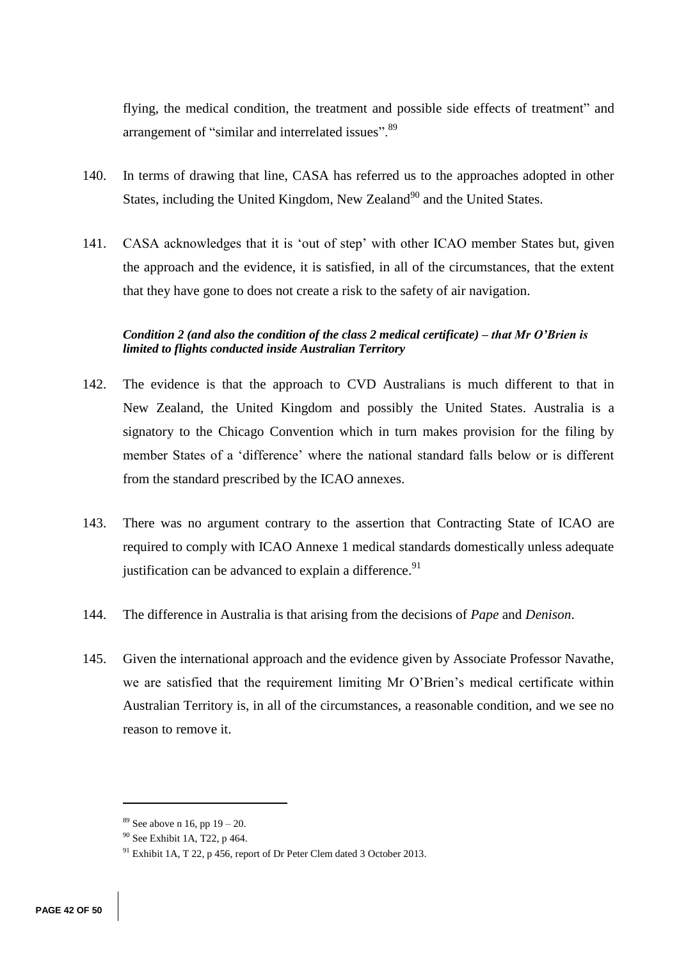flying, the medical condition, the treatment and possible side effects of treatment" and arrangement of "similar and interrelated issues". 89

- 140. In terms of drawing that line, CASA has referred us to the approaches adopted in other States, including the United Kingdom, New Zealand<sup>90</sup> and the United States.
- 141. CASA acknowledges that it is 'out of step' with other ICAO member States but, given the approach and the evidence, it is satisfied, in all of the circumstances, that the extent that they have gone to does not create a risk to the safety of air navigation.

# *Condition 2 (and also the condition of the class 2 medical certificate) – that Mr O'Brien is limited to flights conducted inside Australian Territory*

- 142. The evidence is that the approach to CVD Australians is much different to that in New Zealand, the United Kingdom and possibly the United States. Australia is a signatory to the Chicago Convention which in turn makes provision for the filing by member States of a 'difference' where the national standard falls below or is different from the standard prescribed by the ICAO annexes.
- 143. There was no argument contrary to the assertion that Contracting State of ICAO are required to comply with ICAO Annexe 1 medical standards domestically unless adequate justification can be advanced to explain a difference.<sup>91</sup>
- 144. The difference in Australia is that arising from the decisions of *Pape* and *Denison*.
- 145. Given the international approach and the evidence given by Associate Professor Navathe, we are satisfied that the requirement limiting Mr O'Brien's medical certificate within Australian Territory is, in all of the circumstances, a reasonable condition, and we see no reason to remove it.

 $89$  See above n 16, pp  $19 - 20$ .

<sup>90</sup> See Exhibit 1A, T22, p 464.

<sup>&</sup>lt;sup>91</sup> Exhibit 1A, T 22, p 456, report of Dr Peter Clem dated 3 October 2013.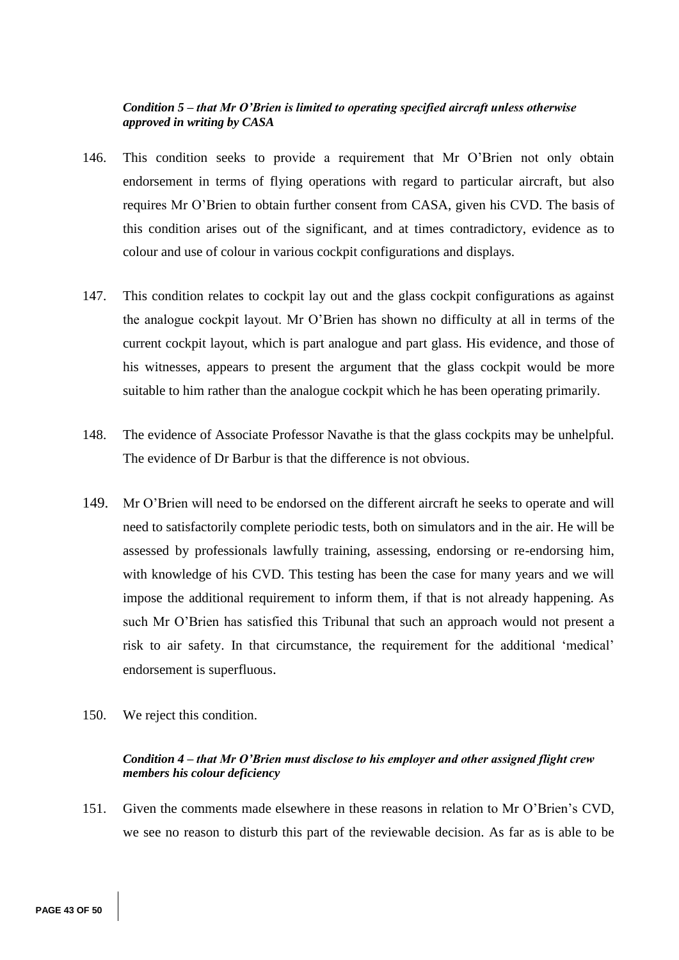## *Condition 5 – that Mr O'Brien is limited to operating specified aircraft unless otherwise approved in writing by CASA*

- 146. This condition seeks to provide a requirement that Mr O'Brien not only obtain endorsement in terms of flying operations with regard to particular aircraft, but also requires Mr O'Brien to obtain further consent from CASA, given his CVD. The basis of this condition arises out of the significant, and at times contradictory, evidence as to colour and use of colour in various cockpit configurations and displays.
- 147. This condition relates to cockpit lay out and the glass cockpit configurations as against the analogue cockpit layout. Mr O'Brien has shown no difficulty at all in terms of the current cockpit layout, which is part analogue and part glass. His evidence, and those of his witnesses, appears to present the argument that the glass cockpit would be more suitable to him rather than the analogue cockpit which he has been operating primarily.
- 148. The evidence of Associate Professor Navathe is that the glass cockpits may be unhelpful. The evidence of Dr Barbur is that the difference is not obvious.
- 149. Mr O'Brien will need to be endorsed on the different aircraft he seeks to operate and will need to satisfactorily complete periodic tests, both on simulators and in the air. He will be assessed by professionals lawfully training, assessing, endorsing or re-endorsing him, with knowledge of his CVD. This testing has been the case for many years and we will impose the additional requirement to inform them, if that is not already happening. As such Mr O'Brien has satisfied this Tribunal that such an approach would not present a risk to air safety. In that circumstance, the requirement for the additional 'medical' endorsement is superfluous.
- 150. We reject this condition.

## *Condition 4 – that Mr O'Brien must disclose to his employer and other assigned flight crew members his colour deficiency*

151. Given the comments made elsewhere in these reasons in relation to Mr O'Brien's CVD, we see no reason to disturb this part of the reviewable decision. As far as is able to be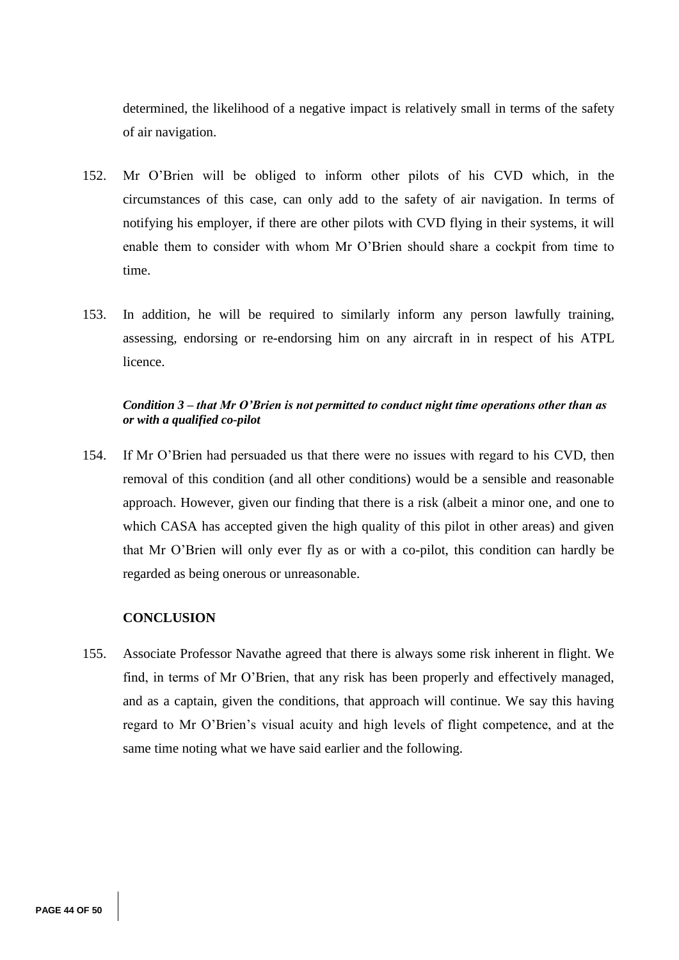determined, the likelihood of a negative impact is relatively small in terms of the safety of air navigation.

- 152. Mr O'Brien will be obliged to inform other pilots of his CVD which, in the circumstances of this case, can only add to the safety of air navigation. In terms of notifying his employer, if there are other pilots with CVD flying in their systems, it will enable them to consider with whom Mr O'Brien should share a cockpit from time to time.
- 153. In addition, he will be required to similarly inform any person lawfully training, assessing, endorsing or re-endorsing him on any aircraft in in respect of his ATPL licence.

# *Condition 3 – that Mr O'Brien is not permitted to conduct night time operations other than as or with a qualified co-pilot*

154. If Mr O'Brien had persuaded us that there were no issues with regard to his CVD, then removal of this condition (and all other conditions) would be a sensible and reasonable approach. However, given our finding that there is a risk (albeit a minor one, and one to which CASA has accepted given the high quality of this pilot in other areas) and given that Mr O'Brien will only ever fly as or with a co-pilot, this condition can hardly be regarded as being onerous or unreasonable.

# **CONCLUSION**

155. Associate Professor Navathe agreed that there is always some risk inherent in flight. We find, in terms of Mr O'Brien, that any risk has been properly and effectively managed, and as a captain, given the conditions, that approach will continue. We say this having regard to Mr O'Brien's visual acuity and high levels of flight competence, and at the same time noting what we have said earlier and the following.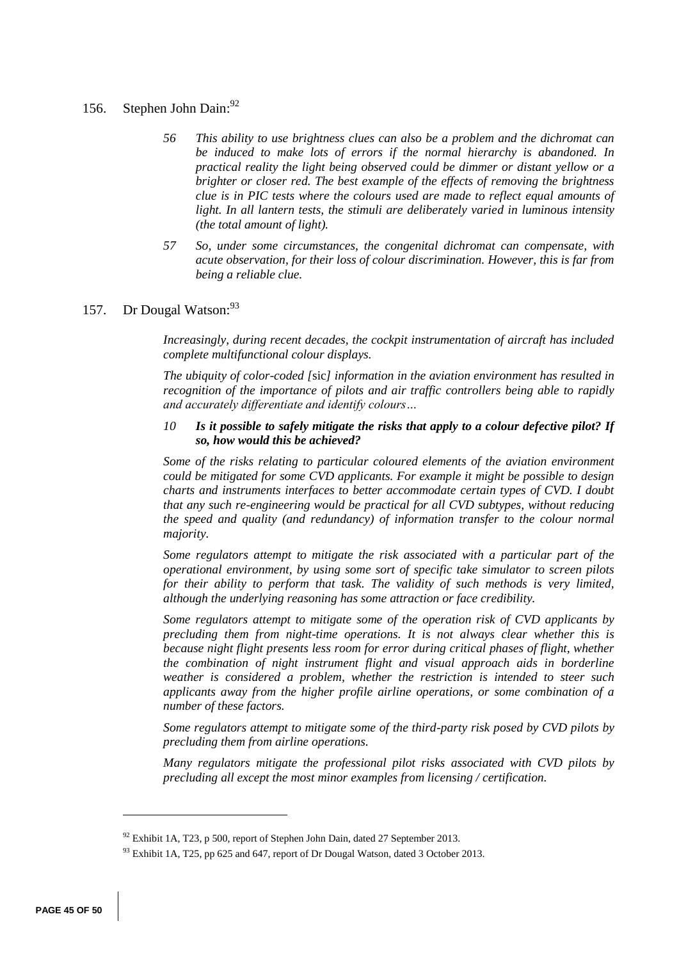# 156. Stephen John Dain: 92

- *56 This ability to use brightness clues can also be a problem and the dichromat can be induced to make lots of errors if the normal hierarchy is abandoned. In practical reality the light being observed could be dimmer or distant yellow or a brighter or closer red. The best example of the effects of removing the brightness clue is in PIC tests where the colours used are made to reflect equal amounts of light. In all lantern tests, the stimuli are deliberately varied in luminous intensity (the total amount of light).*
- *57 So, under some circumstances, the congenital dichromat can compensate, with acute observation, for their loss of colour discrimination. However, this is far from being a reliable clue.*

# 157. Dr Dougal Watson: 93

*Increasingly, during recent decades, the cockpit instrumentation of aircraft has included complete multifunctional colour displays.*

*The ubiquity of color-coded [*sic*] information in the aviation environment has resulted in recognition of the importance of pilots and air traffic controllers being able to rapidly and accurately differentiate and identify colours…*

#### *10 Is it possible to safely mitigate the risks that apply to a colour defective pilot? If so, how would this be achieved?*

*Some of the risks relating to particular coloured elements of the aviation environment could be mitigated for some CVD applicants. For example it might be possible to design charts and instruments interfaces to better accommodate certain types of CVD. I doubt that any such re-engineering would be practical for all CVD subtypes, without reducing the speed and quality (and redundancy) of information transfer to the colour normal majority.*

*Some regulators attempt to mitigate the risk associated with a particular part of the operational environment, by using some sort of specific take simulator to screen pilots for their ability to perform that task. The validity of such methods is very limited, although the underlying reasoning has some attraction or face credibility.*

*Some regulators attempt to mitigate some of the operation risk of CVD applicants by precluding them from night-time operations. It is not always clear whether this is because night flight presents less room for error during critical phases of flight, whether the combination of night instrument flight and visual approach aids in borderline weather is considered a problem, whether the restriction is intended to steer such applicants away from the higher profile airline operations, or some combination of a number of these factors.*

*Some regulators attempt to mitigate some of the third-party risk posed by CVD pilots by precluding them from airline operations.*

*Many regulators mitigate the professional pilot risks associated with CVD pilots by precluding all except the most minor examples from licensing / certification.*

<sup>&</sup>lt;sup>92</sup> Exhibit 1A, T23, p 500, report of Stephen John Dain, dated 27 September 2013.

<sup>&</sup>lt;sup>93</sup> Exhibit 1A, T25, pp 625 and 647, report of Dr Dougal Watson, dated 3 October 2013.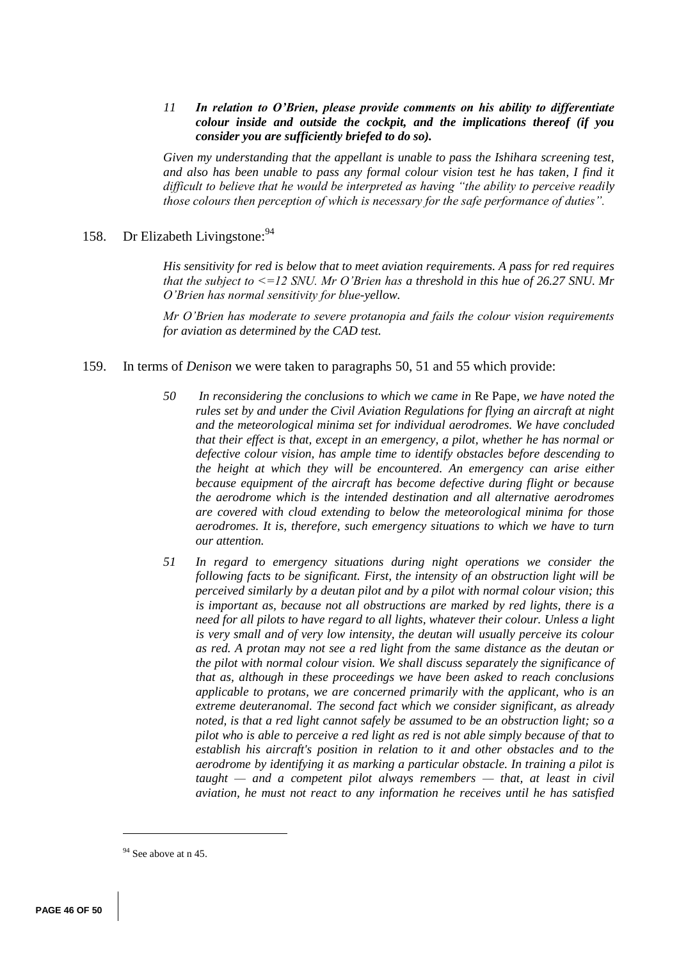### *11 In relation to O'Brien, please provide comments on his ability to differentiate colour inside and outside the cockpit, and the implications thereof (if you consider you are sufficiently briefed to do so).*

*Given my understanding that the appellant is unable to pass the Ishihara screening test, and also has been unable to pass any formal colour vision test he has taken, I find it difficult to believe that he would be interpreted as having "the ability to perceive readily those colours then perception of which is necessary for the safe performance of duties".*

# 158. Dr Elizabeth Livingstone: 94

*His sensitivity for red is below that to meet aviation requirements. A pass for red requires that the subject to <=12 SNU. Mr O'Brien has a threshold in this hue of 26.27 SNU. Mr O'Brien has normal sensitivity for blue-yellow.*

*Mr O'Brien has moderate to severe protanopia and fails the colour vision requirements for aviation as determined by the CAD test.* 

### 159. In terms of *Denison* we were taken to paragraphs 50, 51 and 55 which provide:

- *50 In reconsidering the conclusions to which we came in* Re Pape*, we have noted the rules set by and under the Civil Aviation Regulations for flying an aircraft at night and the meteorological minima set for individual aerodromes. We have concluded that their effect is that, except in an emergency, a pilot, whether he has normal or defective colour vision, has ample time to identify obstacles before descending to the height at which they will be encountered. An emergency can arise either because equipment of the aircraft has become defective during flight or because the aerodrome which is the intended destination and all alternative aerodromes are covered with cloud extending to below the meteorological minima for those aerodromes. It is, therefore, such emergency situations to which we have to turn our attention.*
- *51 In regard to emergency situations during night operations we consider the following facts to be significant. First, the intensity of an obstruction light will be perceived similarly by a deutan pilot and by a pilot with normal colour vision; this is important as, because not all obstructions are marked by red lights, there is a need for all pilots to have regard to all lights, whatever their colour. Unless a light is very small and of very low intensity, the deutan will usually perceive its colour as red. A protan may not see a red light from the same distance as the deutan or the pilot with normal colour vision. We shall discuss separately the significance of that as, although in these proceedings we have been asked to reach conclusions applicable to protans, we are concerned primarily with the applicant, who is an extreme deuteranomal. The second fact which we consider significant, as already noted, is that a red light cannot safely be assumed to be an obstruction light; so a pilot who is able to perceive a red light as red is not able simply because of that to establish his aircraft's position in relation to it and other obstacles and to the aerodrome by identifying it as marking a particular obstacle. In training a pilot is taught — and a competent pilot always remembers — that, at least in civil aviation, he must not react to any information he receives until he has satisfied*

<sup>&</sup>lt;sup>94</sup> See above at n 45.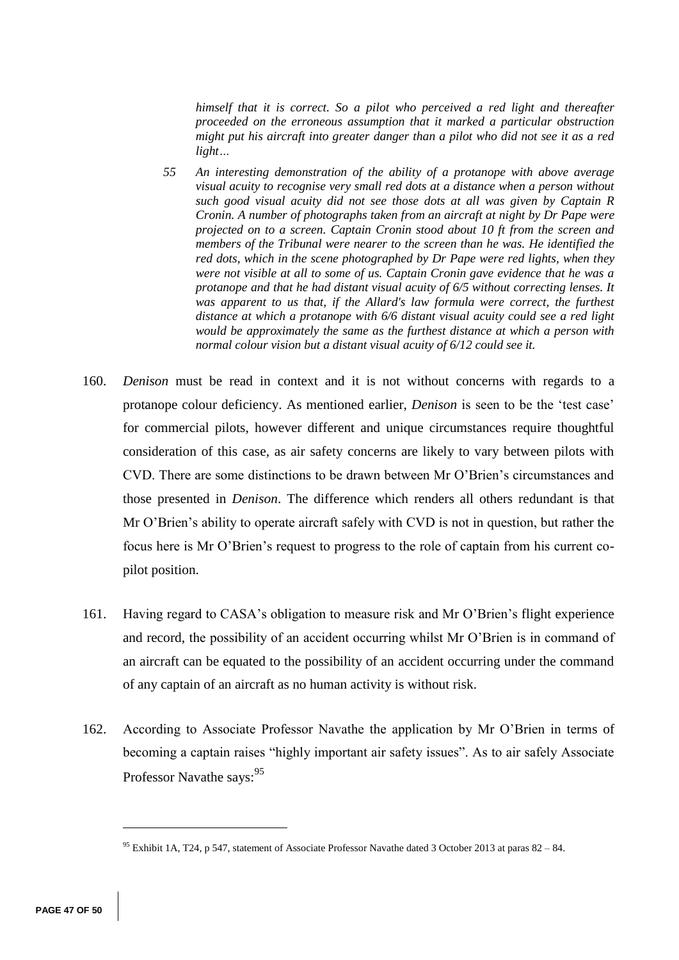*himself that it is correct. So a pilot who perceived a red light and thereafter proceeded on the erroneous assumption that it marked a particular obstruction might put his aircraft into greater danger than a pilot who did not see it as a red light…*

- *55 An interesting demonstration of the ability of a protanope with above average visual acuity to recognise very small red dots at a distance when a person without such good visual acuity did not see those dots at all was given by Captain R Cronin. A number of photographs taken from an aircraft at night by Dr Pape were projected on to a screen. Captain Cronin stood about 10 ft from the screen and members of the Tribunal were nearer to the screen than he was. He identified the red dots, which in the scene photographed by Dr Pape were red lights, when they were not visible at all to some of us. Captain Cronin gave evidence that he was a protanope and that he had distant visual acuity of 6/5 without correcting lenses. It*  was apparent to us that, if the Allard's law formula were correct, the furthest *distance at which a protanope with 6/6 distant visual acuity could see a red light would be approximately the same as the furthest distance at which a person with normal colour vision but a distant visual acuity of 6/12 could see it.*
- 160. *Denison* must be read in context and it is not without concerns with regards to a protanope colour deficiency. As mentioned earlier, *Denison* is seen to be the 'test case' for commercial pilots, however different and unique circumstances require thoughtful consideration of this case, as air safety concerns are likely to vary between pilots with CVD. There are some distinctions to be drawn between Mr O'Brien's circumstances and those presented in *Denison*. The difference which renders all others redundant is that Mr O'Brien's ability to operate aircraft safely with CVD is not in question, but rather the focus here is Mr O'Brien's request to progress to the role of captain from his current copilot position.
- 161. Having regard to CASA's obligation to measure risk and Mr O'Brien's flight experience and record, the possibility of an accident occurring whilst Mr O'Brien is in command of an aircraft can be equated to the possibility of an accident occurring under the command of any captain of an aircraft as no human activity is without risk.
- 162. According to Associate Professor Navathe the application by Mr O'Brien in terms of becoming a captain raises "highly important air safety issues". As to air safely Associate Professor Navathe says: 95

<sup>&</sup>lt;sup>95</sup> Exhibit 1A, T24, p 547, statement of Associate Professor Navathe dated 3 October 2013 at paras  $82 - 84$ .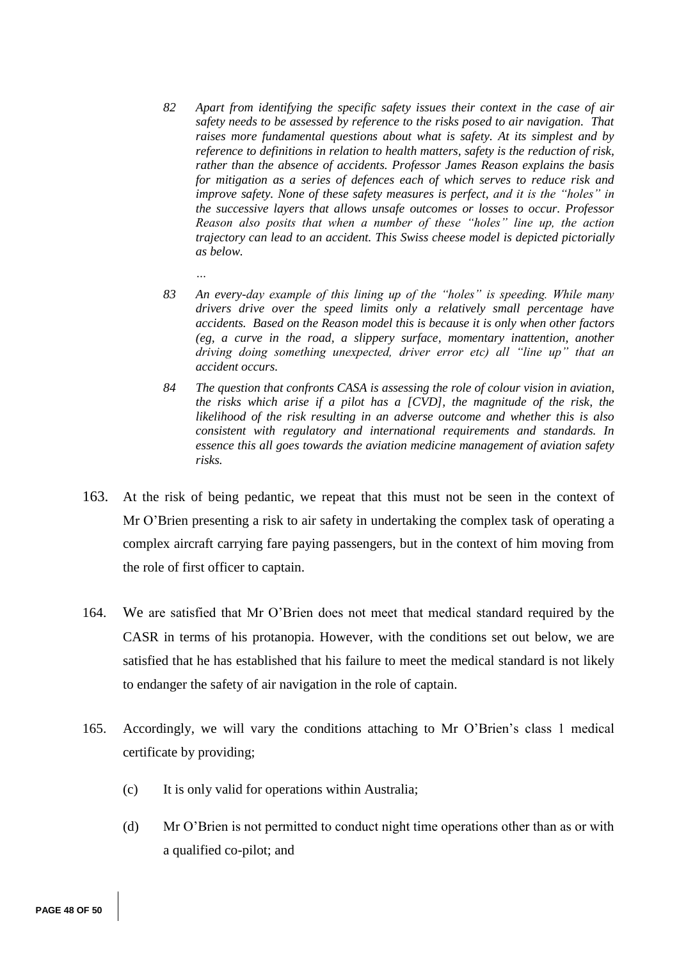- *82 Apart from identifying the specific safety issues their context in the case of air safety needs to be assessed by reference to the risks posed to air navigation. That raises more fundamental questions about what is safety. At its simplest and by reference to definitions in relation to health matters, safety is the reduction of risk, rather than the absence of accidents. Professor James Reason explains the basis for mitigation as a series of defences each of which serves to reduce risk and improve safety. None of these safety measures is perfect, and it is the "holes" in the successive layers that allows unsafe outcomes or losses to occur. Professor Reason also posits that when a number of these "holes" line up, the action trajectory can lead to an accident. This Swiss cheese model is depicted pictorially as below.*
- *83 An every-day example of this lining up of the "holes" is speeding. While many drivers drive over the speed limits only a relatively small percentage have accidents. Based on the Reason model this is because it is only when other factors (eg, a curve in the road, a slippery surface, momentary inattention, another driving doing something unexpected, driver error etc) all "line up" that an accident occurs.*
- *84 The question that confronts CASA is assessing the role of colour vision in aviation, the risks which arise if a pilot has a [CVD], the magnitude of the risk, the likelihood of the risk resulting in an adverse outcome and whether this is also consistent with regulatory and international requirements and standards. In essence this all goes towards the aviation medicine management of aviation safety risks.*
- 163. At the risk of being pedantic, we repeat that this must not be seen in the context of Mr O'Brien presenting a risk to air safety in undertaking the complex task of operating a complex aircraft carrying fare paying passengers, but in the context of him moving from the role of first officer to captain.
- 164. We are satisfied that Mr O'Brien does not meet that medical standard required by the CASR in terms of his protanopia. However, with the conditions set out below, we are satisfied that he has established that his failure to meet the medical standard is not likely to endanger the safety of air navigation in the role of captain.
- 165. Accordingly, we will vary the conditions attaching to Mr O'Brien's class 1 medical certificate by providing;
	- (c) It is only valid for operations within Australia;

*…*

(d) Mr O'Brien is not permitted to conduct night time operations other than as or with a qualified co-pilot; and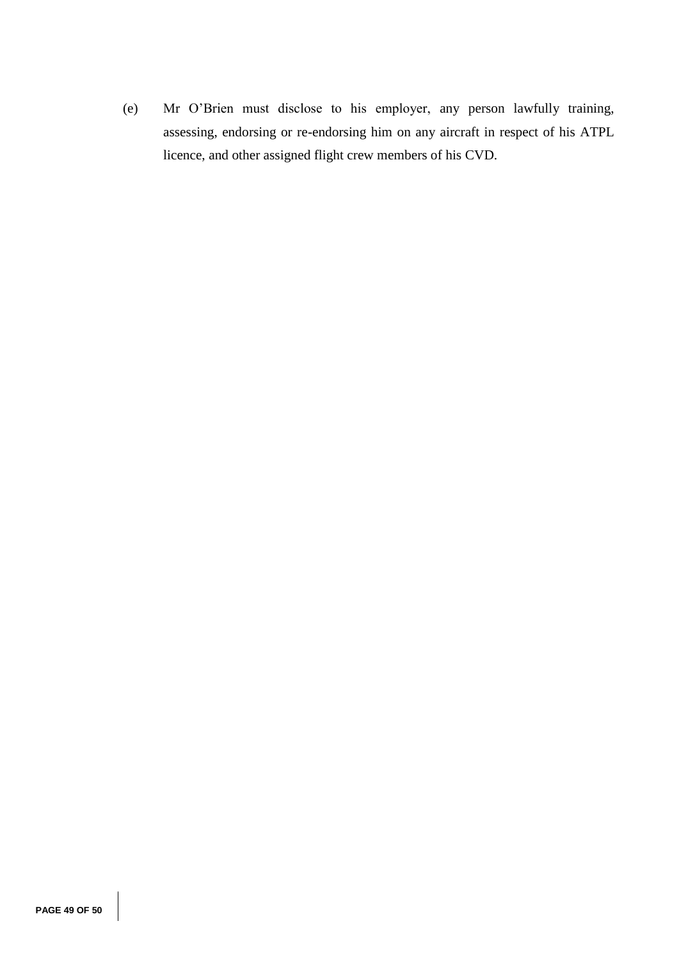(e) Mr O'Brien must disclose to his employer, any person lawfully training, assessing, endorsing or re-endorsing him on any aircraft in respect of his ATPL licence, and other assigned flight crew members of his CVD.